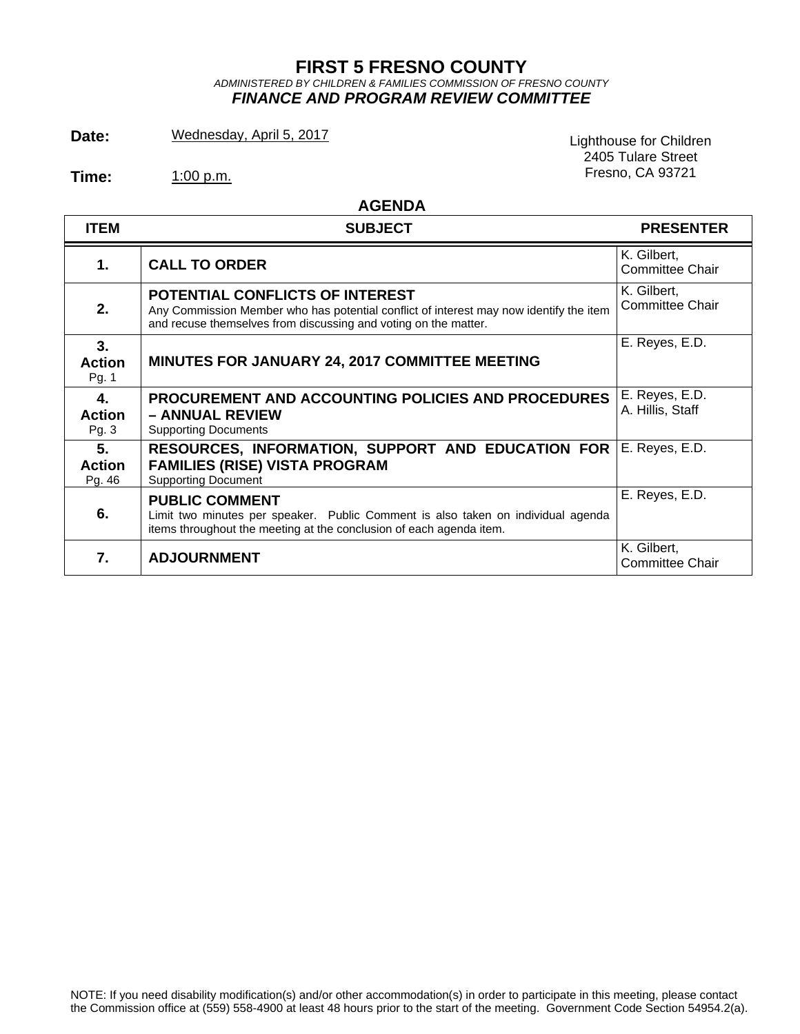# **FIRST 5 FRESNO COUNTY**  *ADMINISTERED BY CHILDREN & FAMILIES COMMISSION OF FRESNO COUNTY FINANCE AND PROGRAM REVIEW COMMITTEE*

Date: Wednesday, April 5, 2017<br>
Lighthouse for Children

Fresno, CA 93721 **Time:** 1:00 p.m.

2405 Tulare Street

 **AGENDA**

| <b>ITEM</b>                   | <b>SUBJECT</b>                                                                                                                                                                                      | <b>PRESENTER</b>                      |
|-------------------------------|-----------------------------------------------------------------------------------------------------------------------------------------------------------------------------------------------------|---------------------------------------|
| 1.                            | <b>CALL TO ORDER</b>                                                                                                                                                                                | K. Gilbert,<br><b>Committee Chair</b> |
| 2.                            | <b>POTENTIAL CONFLICTS OF INTEREST</b><br>Any Commission Member who has potential conflict of interest may now identify the item<br>and recuse themselves from discussing and voting on the matter. | K. Gilbert,<br><b>Committee Chair</b> |
| 3.<br><b>Action</b><br>Pg. 1  | <b>MINUTES FOR JANUARY 24, 2017 COMMITTEE MEETING</b>                                                                                                                                               | E. Reyes, E.D.                        |
| 4.<br><b>Action</b><br>Pg. 3  | <b>PROCUREMENT AND ACCOUNTING POLICIES AND PROCEDURES</b><br>- ANNUAL REVIEW<br><b>Supporting Documents</b>                                                                                         | E. Reyes, E.D.<br>A. Hillis, Staff    |
| 5.<br><b>Action</b><br>Pg. 46 | RESOURCES, INFORMATION, SUPPORT AND EDUCATION FOR<br><b>FAMILIES (RISE) VISTA PROGRAM</b><br><b>Supporting Document</b>                                                                             | E. Reyes, E.D.                        |
| 6.                            | <b>PUBLIC COMMENT</b><br>Limit two minutes per speaker. Public Comment is also taken on individual agenda<br>items throughout the meeting at the conclusion of each agenda item.                    | E. Reyes, E.D.                        |
| 7.                            | <b>ADJOURNMENT</b>                                                                                                                                                                                  | K. Gilbert,<br><b>Committee Chair</b> |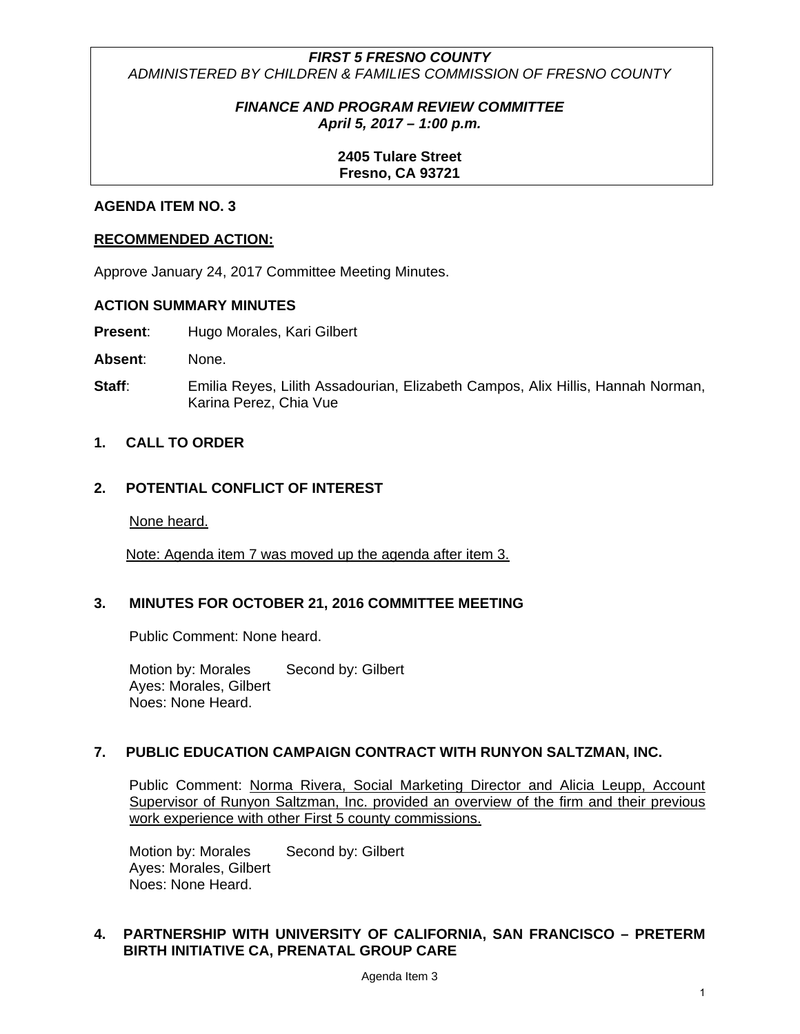# *FIRST 5 FRESNO COUNTY ADMINISTERED BY CHILDREN & FAMILIES COMMISSION OF FRESNO COUNTY*

#### *FINANCE AND PROGRAM REVIEW COMMITTEE April 5, 2017 – 1:00 p.m.*

#### **2405 Tulare Street Fresno, CA 93721**

#### **AGENDA ITEM NO. 3**

#### **RECOMMENDED ACTION:**

Approve January 24, 2017 Committee Meeting Minutes.

#### **ACTION SUMMARY MINUTES**

**Present:** Hugo Morales, Kari Gilbert

**Absent**: None.

**Staff:** Emilia Reyes, Lilith Assadourian, Elizabeth Campos, Alix Hillis, Hannah Norman, Karina Perez, Chia Vue

#### **1. CALL TO ORDER**

## **2. POTENTIAL CONFLICT OF INTEREST**

None heard.

Note: Agenda item 7 was moved up the agenda after item 3.

#### **3. MINUTES FOR OCTOBER 21, 2016 COMMITTEE MEETING**

Public Comment: None heard.

Motion by: Morales Second by: Gilbert Ayes: Morales, Gilbert Noes: None Heard.

#### **7. PUBLIC EDUCATION CAMPAIGN CONTRACT WITH RUNYON SALTZMAN, INC.**

Public Comment: Norma Rivera, Social Marketing Director and Alicia Leupp, Account Supervisor of Runyon Saltzman, Inc. provided an overview of the firm and their previous work experience with other First 5 county commissions.

Motion by: Morales Second by: Gilbert Ayes: Morales, Gilbert Noes: None Heard.

#### **4. PARTNERSHIP WITH UNIVERSITY OF CALIFORNIA, SAN FRANCISCO – PRETERM BIRTH INITIATIVE CA, PRENATAL GROUP CARE**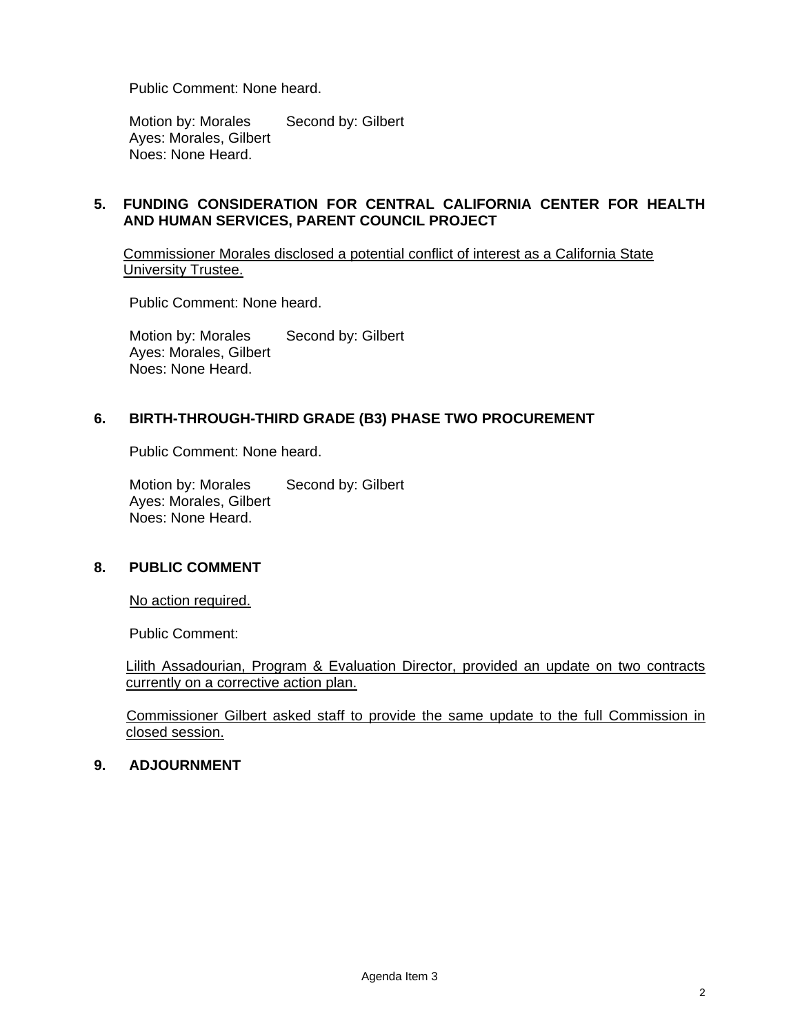Public Comment: None heard.

Motion by: Morales Second by: Gilbert Ayes: Morales, Gilbert Noes: None Heard.

## **5. FUNDING CONSIDERATION FOR CENTRAL CALIFORNIA CENTER FOR HEALTH AND HUMAN SERVICES, PARENT COUNCIL PROJECT**

Commissioner Morales disclosed a potential conflict of interest as a California State University Trustee.

Public Comment: None heard.

Motion by: Morales Second by: Gilbert Ayes: Morales, Gilbert Noes: None Heard.

#### **6. BIRTH-THROUGH-THIRD GRADE (B3) PHASE TWO PROCUREMENT**

Public Comment: None heard.

Motion by: Morales Second by: Gilbert Ayes: Morales, Gilbert Noes: None Heard.

#### **8. PUBLIC COMMENT**

No action required.

Public Comment:

Lilith Assadourian, Program & Evaluation Director, provided an update on two contracts currently on a corrective action plan.

Commissioner Gilbert asked staff to provide the same update to the full Commission in closed session.

#### **9. ADJOURNMENT**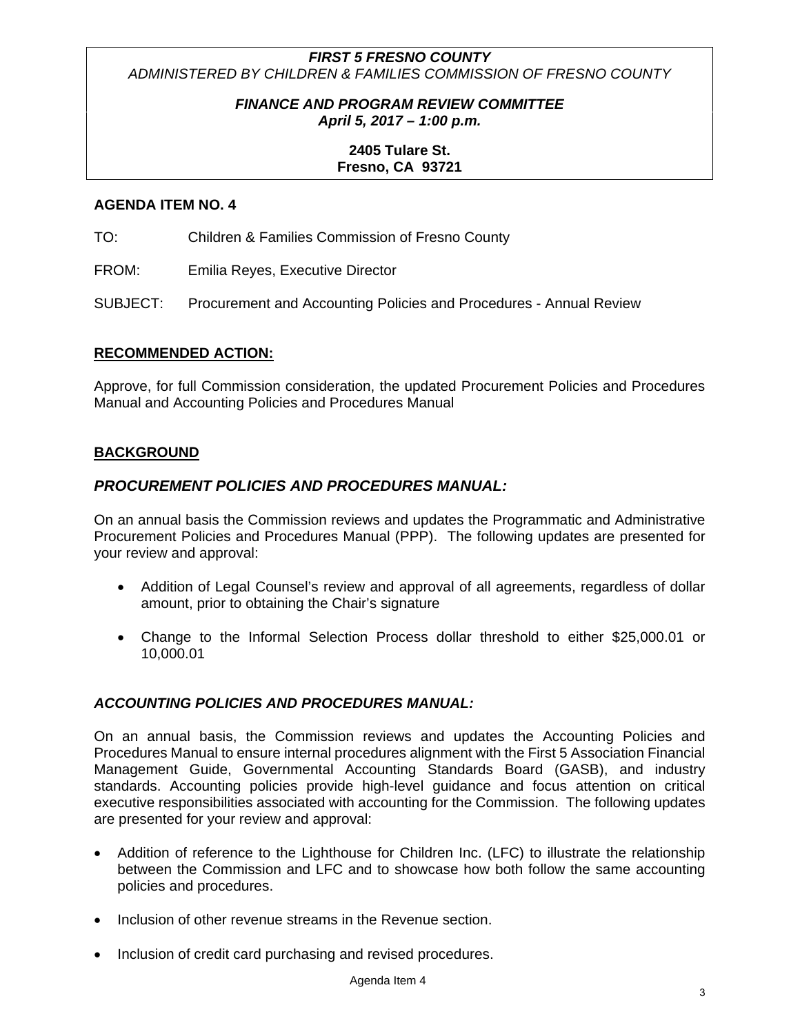# *FIRST 5 FRESNO COUNTY ADMINISTERED BY CHILDREN & FAMILIES COMMISSION OF FRESNO COUNTY*

# *FINANCE AND PROGRAM REVIEW COMMITTEE April 5, 2017 – 1:00 p.m.*

# **2405 Tulare St. Fresno, CA 93721**

## **AGENDA ITEM NO. 4**

TO: Children & Families Commission of Fresno County

FROM: Emilia Reyes, Executive Director

SUBJECT: Procurement and Accounting Policies and Procedures - Annual Review

#### **RECOMMENDED ACTION:**

Approve, for full Commission consideration, the updated Procurement Policies and Procedures Manual and Accounting Policies and Procedures Manual

#### **BACKGROUND**

#### *PROCUREMENT POLICIES AND PROCEDURES MANUAL:*

On an annual basis the Commission reviews and updates the Programmatic and Administrative Procurement Policies and Procedures Manual (PPP). The following updates are presented for your review and approval:

- Addition of Legal Counsel's review and approval of all agreements, regardless of dollar amount, prior to obtaining the Chair's signature
- Change to the Informal Selection Process dollar threshold to either \$25,000.01 or 10,000.01

# *ACCOUNTING POLICIES AND PROCEDURES MANUAL:*

On an annual basis, the Commission reviews and updates the Accounting Policies and Procedures Manual to ensure internal procedures alignment with the First 5 Association Financial Management Guide, Governmental Accounting Standards Board (GASB), and industry standards. Accounting policies provide high-level guidance and focus attention on critical executive responsibilities associated with accounting for the Commission. The following updates are presented for your review and approval:

- Addition of reference to the Lighthouse for Children Inc. (LFC) to illustrate the relationship between the Commission and LFC and to showcase how both follow the same accounting policies and procedures.
- Inclusion of other revenue streams in the Revenue section.
- Inclusion of credit card purchasing and revised procedures.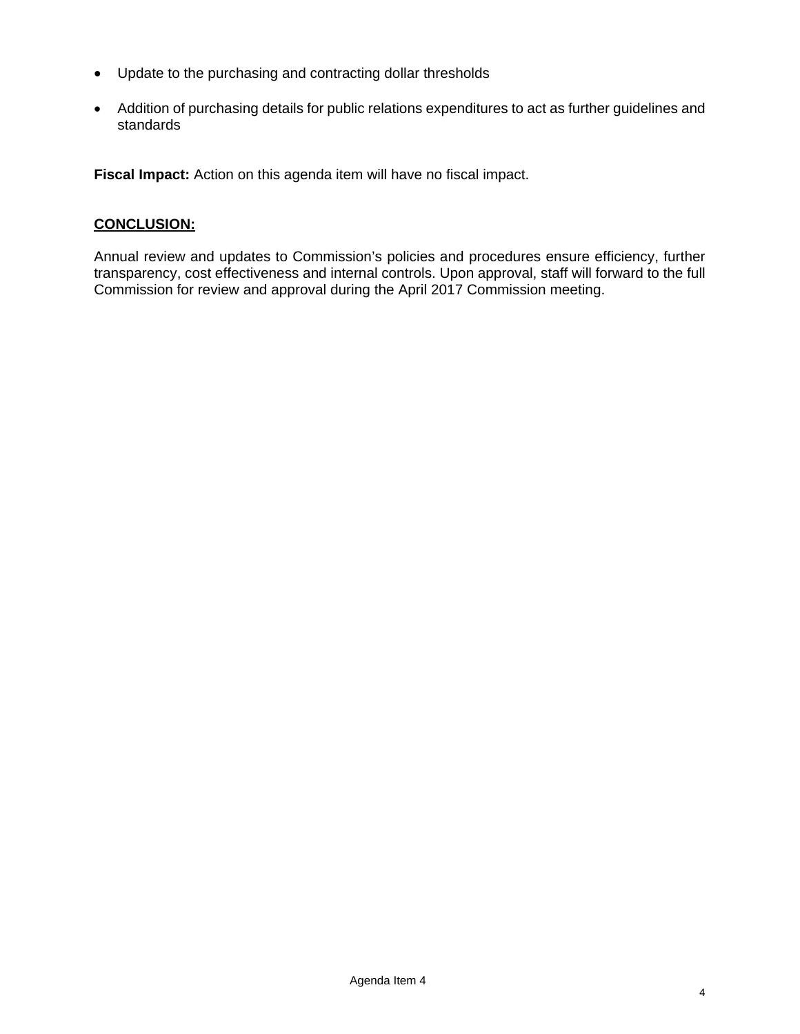- Update to the purchasing and contracting dollar thresholds
- Addition of purchasing details for public relations expenditures to act as further guidelines and standards

**Fiscal Impact:** Action on this agenda item will have no fiscal impact.

# **CONCLUSION:**

Annual review and updates to Commission's policies and procedures ensure efficiency, further transparency, cost effectiveness and internal controls. Upon approval, staff will forward to the full Commission for review and approval during the April 2017 Commission meeting.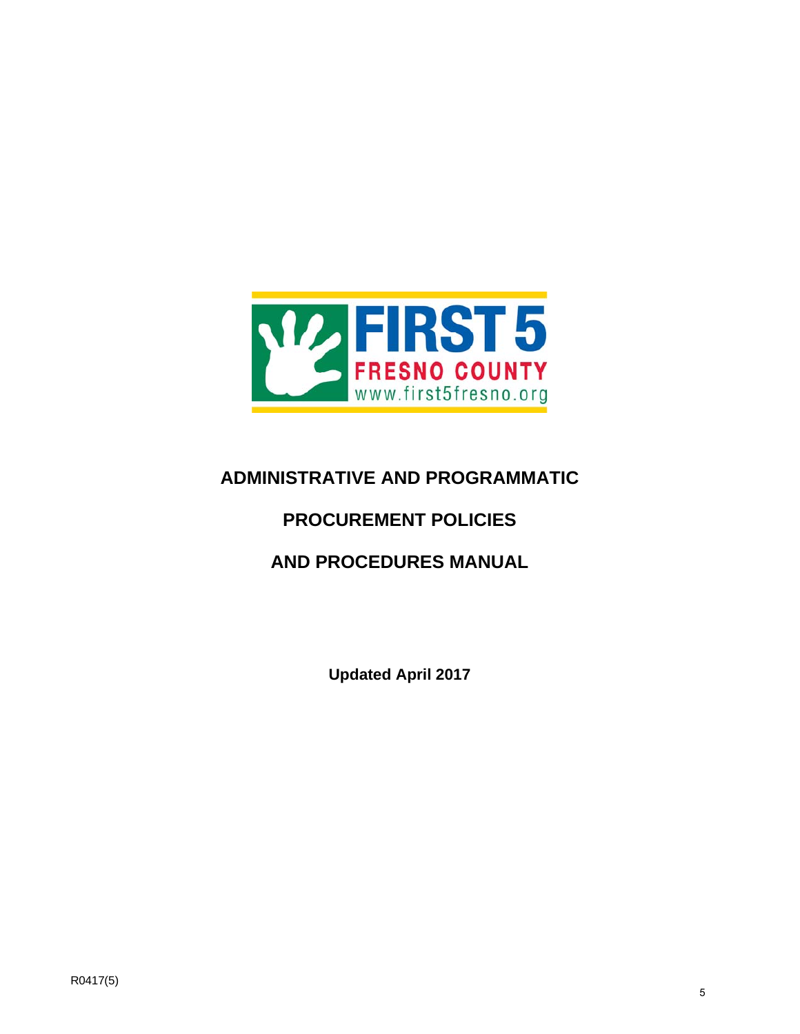

# **ADMINISTRATIVE AND PROGRAMMATIC**

# **PROCUREMENT POLICIES**

# **AND PROCEDURES MANUAL**

**Updated April 2017**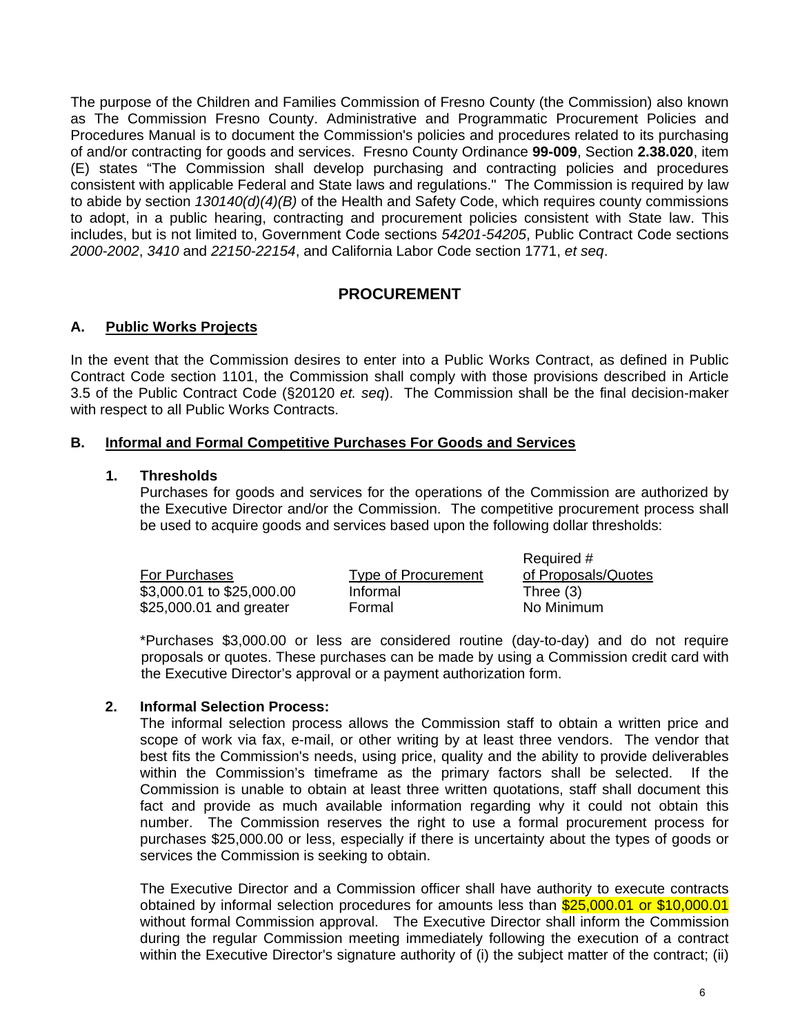The purpose of the Children and Families Commission of Fresno County (the Commission) also known as The Commission Fresno County. Administrative and Programmatic Procurement Policies and Procedures Manual is to document the Commission's policies and procedures related to its purchasing of and/or contracting for goods and services. Fresno County Ordinance **99-009**, Section **2.38.020**, item (E) states "The Commission shall develop purchasing and contracting policies and procedures consistent with applicable Federal and State laws and regulations."The Commission is required by law to abide by section *130140(d)(4)(B)* of the Health and Safety Code, which requires county commissions to adopt, in a public hearing, contracting and procurement policies consistent with State law. This includes, but is not limited to, Government Code sections *54201-54205*, Public Contract Code sections *2000-2002*, *3410* and *22150-22154*, and California Labor Code section 1771, *et seq*.

# **PROCUREMENT**

# **A. Public Works Projects**

In the event that the Commission desires to enter into a Public Works Contract, as defined in Public Contract Code section 1101, the Commission shall comply with those provisions described in Article 3.5 of the Public Contract Code (§20120 *et. seq*). The Commission shall be the final decision-maker with respect to all Public Works Contracts.

# **B. Informal and Formal Competitive Purchases For Goods and Services**

#### **1. Thresholds**

 Purchases for goods and services for the operations of the Commission are authorized by the Executive Director and/or the Commission. The competitive procurement process shall be used to acquire goods and services based upon the following dollar thresholds:

|                           |                     | Required #          |
|---------------------------|---------------------|---------------------|
| For Purchases             | Type of Procurement | of Proposals/Quotes |
| \$3,000.01 to \$25,000.00 | Informal            | Three $(3)$         |
| \$25,000.01 and greater   | Formal              | No Minimum          |

\*Purchases \$3,000.00 or less are considered routine (day-to-day) and do not require proposals or quotes. These purchases can be made by using a Commission credit card with the Executive Director's approval or a payment authorization form.

#### **2. Informal Selection Process:**

The informal selection process allows the Commission staff to obtain a written price and scope of work via fax, e-mail, or other writing by at least three vendors. The vendor that best fits the Commission's needs, using price, quality and the ability to provide deliverables within the Commission's timeframe as the primary factors shall be selected. If the Commission is unable to obtain at least three written quotations, staff shall document this fact and provide as much available information regarding why it could not obtain this number. The Commission reserves the right to use a formal procurement process for purchases \$25,000.00 or less, especially if there is uncertainty about the types of goods or services the Commission is seeking to obtain.

The Executive Director and a Commission officer shall have authority to execute contracts obtained by informal selection procedures for amounts less than \$25,000.01 or \$10,000.01 without formal Commission approval. The Executive Director shall inform the Commission during the regular Commission meeting immediately following the execution of a contract within the Executive Director's signature authority of (i) the subject matter of the contract; (ii)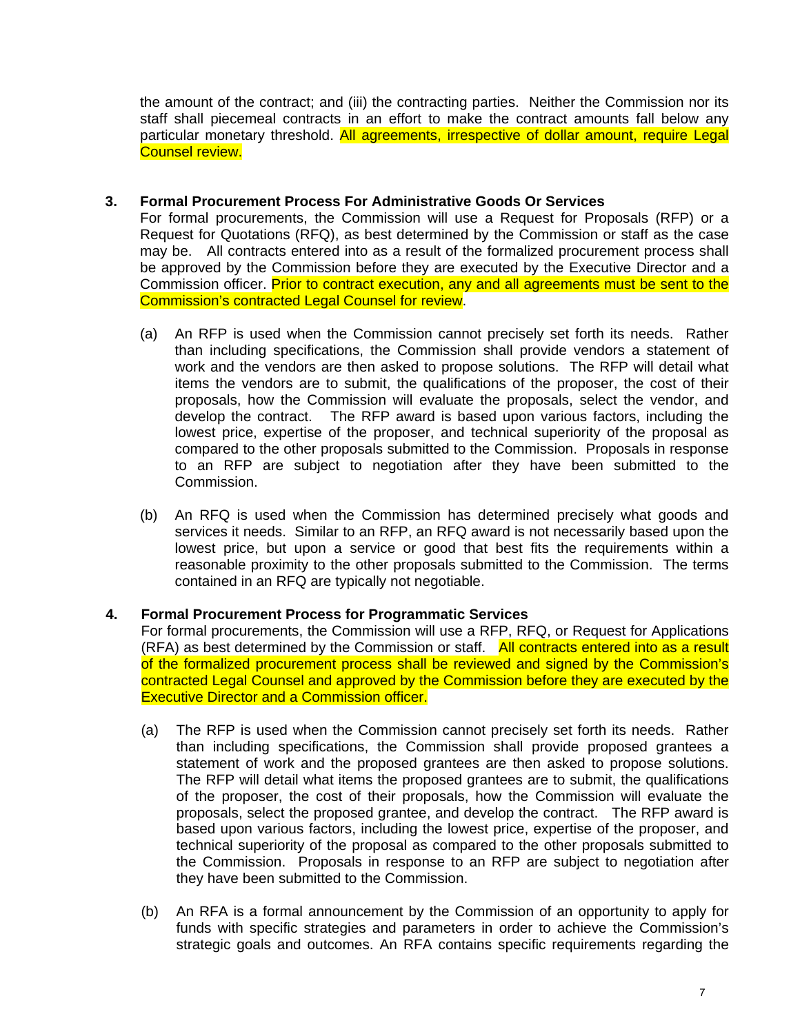the amount of the contract; and (iii) the contracting parties. Neither the Commission nor its staff shall piecemeal contracts in an effort to make the contract amounts fall below any particular monetary threshold. All agreements, irrespective of dollar amount, require Legal Counsel review.

# **3. Formal Procurement Process For Administrative Goods Or Services**

For formal procurements, the Commission will use a Request for Proposals (RFP) or a Request for Quotations (RFQ), as best determined by the Commission or staff as the case may be. All contracts entered into as a result of the formalized procurement process shall be approved by the Commission before they are executed by the Executive Director and a Commission officer. Prior to contract execution, any and all agreements must be sent to the Commission's contracted Legal Counsel for review.

- (a) An RFP is used when the Commission cannot precisely set forth its needs. Rather than including specifications, the Commission shall provide vendors a statement of work and the vendors are then asked to propose solutions. The RFP will detail what items the vendors are to submit, the qualifications of the proposer, the cost of their proposals, how the Commission will evaluate the proposals, select the vendor, and develop the contract. The RFP award is based upon various factors, including the lowest price, expertise of the proposer, and technical superiority of the proposal as compared to the other proposals submitted to the Commission. Proposals in response to an RFP are subject to negotiation after they have been submitted to the Commission.
- (b) An RFQ is used when the Commission has determined precisely what goods and services it needs. Similar to an RFP, an RFQ award is not necessarily based upon the lowest price, but upon a service or good that best fits the requirements within a reasonable proximity to the other proposals submitted to the Commission. The terms contained in an RFQ are typically not negotiable.

# **4. Formal Procurement Process for Programmatic Services**

For formal procurements, the Commission will use a RFP, RFQ, or Request for Applications (RFA) as best determined by the Commission or staff. All contracts entered into as a result of the formalized procurement process shall be reviewed and signed by the Commission's contracted Legal Counsel and approved by the Commission before they are executed by the Executive Director and a Commission officer.

- (a) The RFP is used when the Commission cannot precisely set forth its needs. Rather than including specifications, the Commission shall provide proposed grantees a statement of work and the proposed grantees are then asked to propose solutions. The RFP will detail what items the proposed grantees are to submit, the qualifications of the proposer, the cost of their proposals, how the Commission will evaluate the proposals, select the proposed grantee, and develop the contract. The RFP award is based upon various factors, including the lowest price, expertise of the proposer, and technical superiority of the proposal as compared to the other proposals submitted to the Commission. Proposals in response to an RFP are subject to negotiation after they have been submitted to the Commission.
- (b) An RFA is a formal announcement by the Commission of an opportunity to apply for funds with specific strategies and parameters in order to achieve the Commission's strategic goals and outcomes. An RFA contains specific requirements regarding the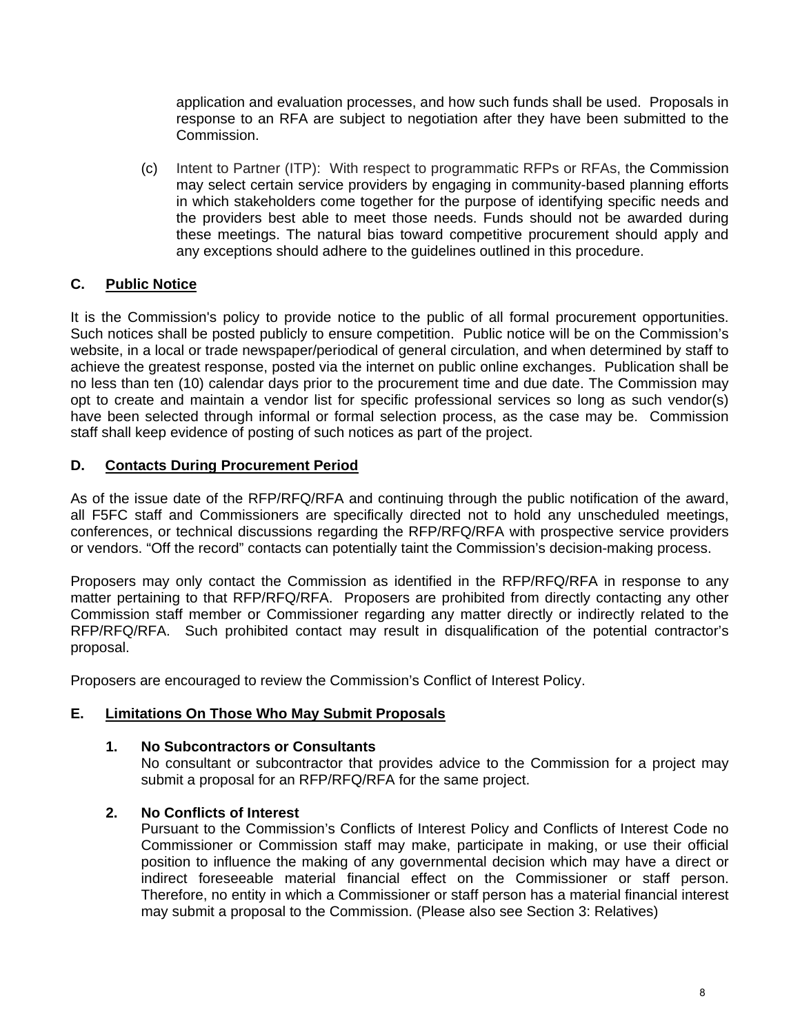application and evaluation processes, and how such funds shall be used. Proposals in response to an RFA are subject to negotiation after they have been submitted to the Commission.

(c) Intent to Partner (ITP): With respect to programmatic RFPs or RFAs, the Commission may select certain service providers by engaging in community-based planning efforts in which stakeholders come together for the purpose of identifying specific needs and the providers best able to meet those needs. Funds should not be awarded during these meetings. The natural bias toward competitive procurement should apply and any exceptions should adhere to the guidelines outlined in this procedure.

# **C. Public Notice**

It is the Commission's policy to provide notice to the public of all formal procurement opportunities. Such notices shall be posted publicly to ensure competition. Public notice will be on the Commission's website, in a local or trade newspaper/periodical of general circulation, and when determined by staff to achieve the greatest response, posted via the internet on public online exchanges. Publication shall be no less than ten (10) calendar days prior to the procurement time and due date. The Commission may opt to create and maintain a vendor list for specific professional services so long as such vendor(s) have been selected through informal or formal selection process, as the case may be. Commission staff shall keep evidence of posting of such notices as part of the project.

# **D. Contacts During Procurement Period**

As of the issue date of the RFP/RFQ/RFA and continuing through the public notification of the award, all F5FC staff and Commissioners are specifically directed not to hold any unscheduled meetings, conferences, or technical discussions regarding the RFP/RFQ/RFA with prospective service providers or vendors. "Off the record" contacts can potentially taint the Commission's decision-making process.

Proposers may only contact the Commission as identified in the RFP/RFQ/RFA in response to any matter pertaining to that RFP/RFQ/RFA. Proposers are prohibited from directly contacting any other Commission staff member or Commissioner regarding any matter directly or indirectly related to the RFP/RFQ/RFA. Such prohibited contact may result in disqualification of the potential contractor's proposal.

Proposers are encouraged to review the Commission's Conflict of Interest Policy.

# **E. Limitations On Those Who May Submit Proposals**

# **1. No Subcontractors or Consultants**

 No consultant or subcontractor that provides advice to the Commission for a project may submit a proposal for an RFP/RFQ/RFA for the same project.

# **2. No Conflicts of Interest**

 Pursuant to the Commission's Conflicts of Interest Policy and Conflicts of Interest Code no Commissioner or Commission staff may make, participate in making, or use their official position to influence the making of any governmental decision which may have a direct or indirect foreseeable material financial effect on the Commissioner or staff person. Therefore, no entity in which a Commissioner or staff person has a material financial interest may submit a proposal to the Commission. (Please also see Section 3: Relatives)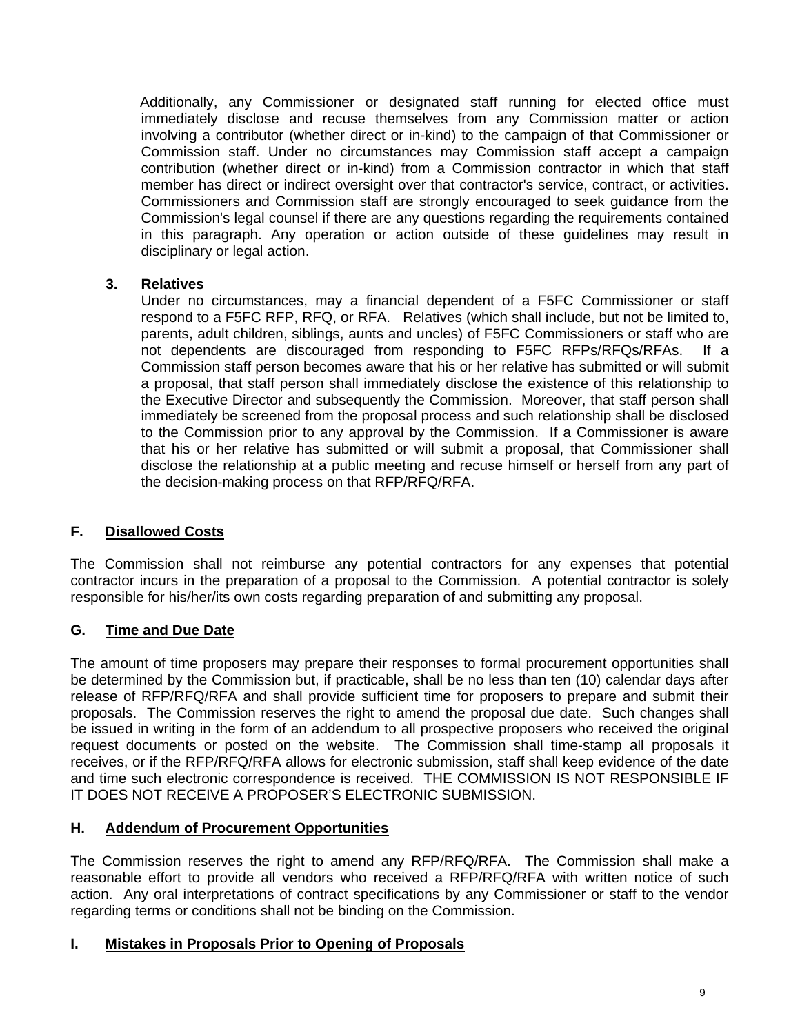Additionally, any Commissioner or designated staff running for elected office must immediately disclose and recuse themselves from any Commission matter or action involving a contributor (whether direct or in-kind) to the campaign of that Commissioner or Commission staff. Under no circumstances may Commission staff accept a campaign contribution (whether direct or in-kind) from a Commission contractor in which that staff member has direct or indirect oversight over that contractor's service, contract, or activities. Commissioners and Commission staff are strongly encouraged to seek guidance from the Commission's legal counsel if there are any questions regarding the requirements contained in this paragraph. Any operation or action outside of these guidelines may result in disciplinary or legal action.

# **3. Relatives**

Under no circumstances, may a financial dependent of a F5FC Commissioner or staff respond to a F5FC RFP, RFQ, or RFA. Relatives (which shall include, but not be limited to, parents, adult children, siblings, aunts and uncles) of F5FC Commissioners or staff who are not dependents are discouraged from responding to F5FC RFPs/RFQs/RFAs. If a Commission staff person becomes aware that his or her relative has submitted or will submit a proposal, that staff person shall immediately disclose the existence of this relationship to the Executive Director and subsequently the Commission. Moreover, that staff person shall immediately be screened from the proposal process and such relationship shall be disclosed to the Commission prior to any approval by the Commission. If a Commissioner is aware that his or her relative has submitted or will submit a proposal, that Commissioner shall disclose the relationship at a public meeting and recuse himself or herself from any part of the decision-making process on that RFP/RFQ/RFA.

# **F. Disallowed Costs**

The Commission shall not reimburse any potential contractors for any expenses that potential contractor incurs in the preparation of a proposal to the Commission. A potential contractor is solely responsible for his/her/its own costs regarding preparation of and submitting any proposal.

# **G. Time and Due Date**

The amount of time proposers may prepare their responses to formal procurement opportunities shall be determined by the Commission but, if practicable, shall be no less than ten (10) calendar days after release of RFP/RFQ/RFA and shall provide sufficient time for proposers to prepare and submit their proposals. The Commission reserves the right to amend the proposal due date. Such changes shall be issued in writing in the form of an addendum to all prospective proposers who received the original request documents or posted on the website. The Commission shall time-stamp all proposals it receives, or if the RFP/RFQ/RFA allows for electronic submission, staff shall keep evidence of the date and time such electronic correspondence is received. THE COMMISSION IS NOT RESPONSIBLE IF IT DOES NOT RECEIVE A PROPOSER'S ELECTRONIC SUBMISSION.

# **H. Addendum of Procurement Opportunities**

The Commission reserves the right to amend any RFP/RFQ/RFA. The Commission shall make a reasonable effort to provide all vendors who received a RFP/RFQ/RFA with written notice of such action. Any oral interpretations of contract specifications by any Commissioner or staff to the vendor regarding terms or conditions shall not be binding on the Commission.

# **I. Mistakes in Proposals Prior to Opening of Proposals**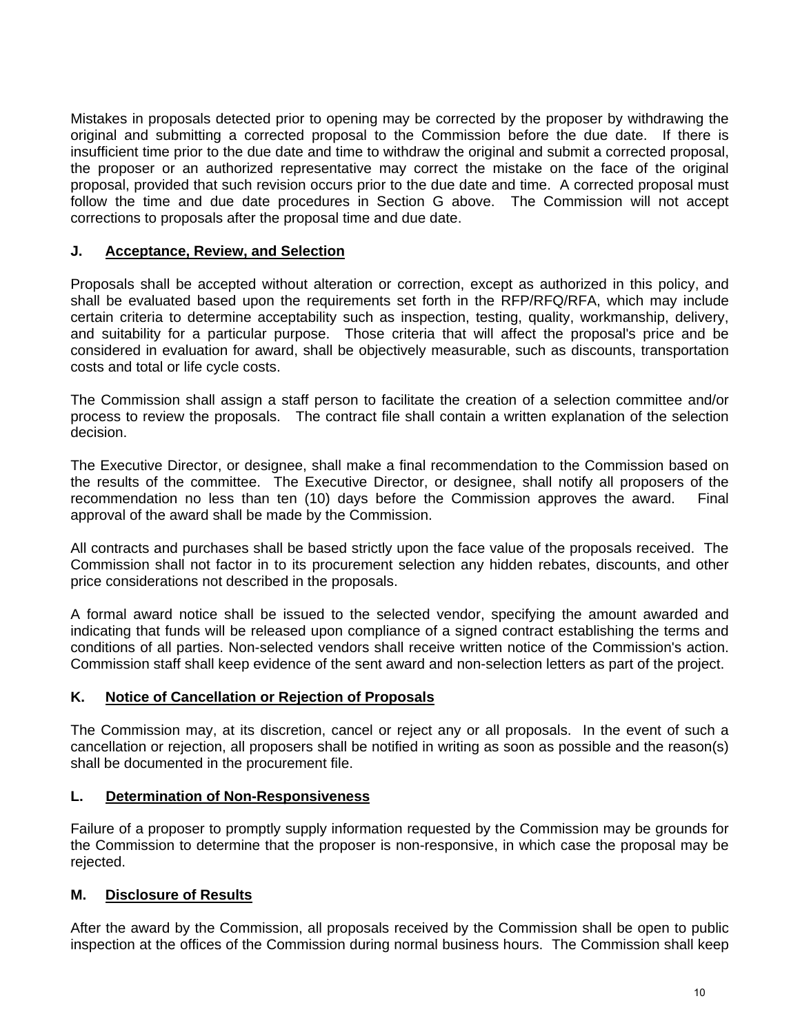Mistakes in proposals detected prior to opening may be corrected by the proposer by withdrawing the original and submitting a corrected proposal to the Commission before the due date. If there is insufficient time prior to the due date and time to withdraw the original and submit a corrected proposal, the proposer or an authorized representative may correct the mistake on the face of the original proposal, provided that such revision occurs prior to the due date and time. A corrected proposal must follow the time and due date procedures in Section G above. The Commission will not accept corrections to proposals after the proposal time and due date.

# **J. Acceptance, Review, and Selection**

Proposals shall be accepted without alteration or correction, except as authorized in this policy, and shall be evaluated based upon the requirements set forth in the RFP/RFQ/RFA, which may include certain criteria to determine acceptability such as inspection, testing, quality, workmanship, delivery, and suitability for a particular purpose. Those criteria that will affect the proposal's price and be considered in evaluation for award, shall be objectively measurable, such as discounts, transportation costs and total or life cycle costs.

The Commission shall assign a staff person to facilitate the creation of a selection committee and/or process to review the proposals. The contract file shall contain a written explanation of the selection decision.

The Executive Director, or designee, shall make a final recommendation to the Commission based on the results of the committee. The Executive Director, or designee, shall notify all proposers of the recommendation no less than ten (10) days before the Commission approves the award. Final approval of the award shall be made by the Commission.

All contracts and purchases shall be based strictly upon the face value of the proposals received. The Commission shall not factor in to its procurement selection any hidden rebates, discounts, and other price considerations not described in the proposals.

A formal award notice shall be issued to the selected vendor, specifying the amount awarded and indicating that funds will be released upon compliance of a signed contract establishing the terms and conditions of all parties. Non-selected vendors shall receive written notice of the Commission's action. Commission staff shall keep evidence of the sent award and non-selection letters as part of the project.

#### **K. Notice of Cancellation or Rejection of Proposals**

The Commission may, at its discretion, cancel or reject any or all proposals. In the event of such a cancellation or rejection, all proposers shall be notified in writing as soon as possible and the reason(s) shall be documented in the procurement file.

#### **L. Determination of Non-Responsiveness**

Failure of a proposer to promptly supply information requested by the Commission may be grounds for the Commission to determine that the proposer is non-responsive, in which case the proposal may be rejected.

# **M. Disclosure of Results**

After the award by the Commission, all proposals received by the Commission shall be open to public inspection at the offices of the Commission during normal business hours. The Commission shall keep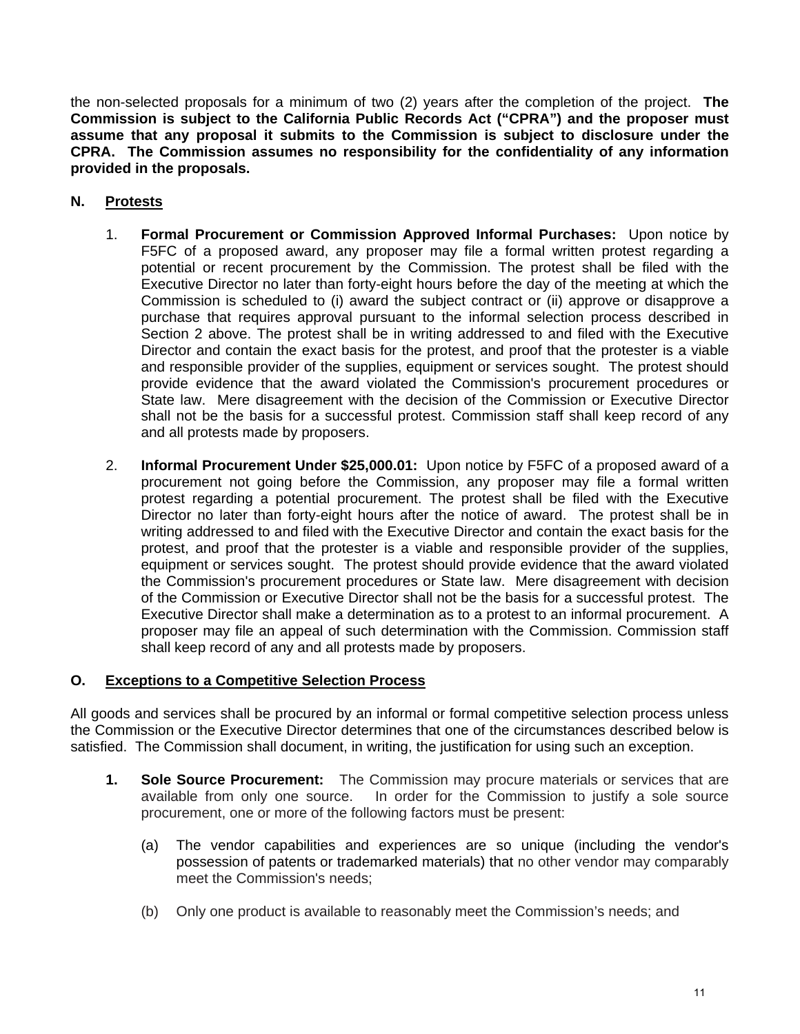the non-selected proposals for a minimum of two (2) years after the completion of the project. **The Commission is subject to the California Public Records Act ("CPRA") and the proposer must assume that any proposal it submits to the Commission is subject to disclosure under the CPRA. The Commission assumes no responsibility for the confidentiality of any information provided in the proposals.**

# **N. Protests**

- 1. **Formal Procurement or Commission Approved Informal Purchases:** Upon notice by F5FC of a proposed award, any proposer may file a formal written protest regarding a potential or recent procurement by the Commission. The protest shall be filed with the Executive Director no later than forty-eight hours before the day of the meeting at which the Commission is scheduled to (i) award the subject contract or (ii) approve or disapprove a purchase that requires approval pursuant to the informal selection process described in Section 2 above. The protest shall be in writing addressed to and filed with the Executive Director and contain the exact basis for the protest, and proof that the protester is a viable and responsible provider of the supplies, equipment or services sought. The protest should provide evidence that the award violated the Commission's procurement procedures or State law. Mere disagreement with the decision of the Commission or Executive Director shall not be the basis for a successful protest. Commission staff shall keep record of any and all protests made by proposers.
- 2. **Informal Procurement Under \$25,000.01:** Upon notice by F5FC of a proposed award of a procurement not going before the Commission, any proposer may file a formal written protest regarding a potential procurement. The protest shall be filed with the Executive Director no later than forty-eight hours after the notice of award. The protest shall be in writing addressed to and filed with the Executive Director and contain the exact basis for the protest, and proof that the protester is a viable and responsible provider of the supplies, equipment or services sought. The protest should provide evidence that the award violated the Commission's procurement procedures or State law. Mere disagreement with decision of the Commission or Executive Director shall not be the basis for a successful protest. The Executive Director shall make a determination as to a protest to an informal procurement. A proposer may file an appeal of such determination with the Commission. Commission staff shall keep record of any and all protests made by proposers.

# **O. Exceptions to a Competitive Selection Process**

All goods and services shall be procured by an informal or formal competitive selection process unless the Commission or the Executive Director determines that one of the circumstances described below is satisfied. The Commission shall document, in writing, the justification for using such an exception.

- **1. Sole Source Procurement:** The Commission may procure materials or services that are available from only one source. In order for the Commission to justify a sole source procurement, one or more of the following factors must be present:
	- (a) The vendor capabilities and experiences are so unique (including the vendor's possession of patents or trademarked materials) that no other vendor may comparably meet the Commission's needs;
	- (b) Only one product is available to reasonably meet the Commission's needs; and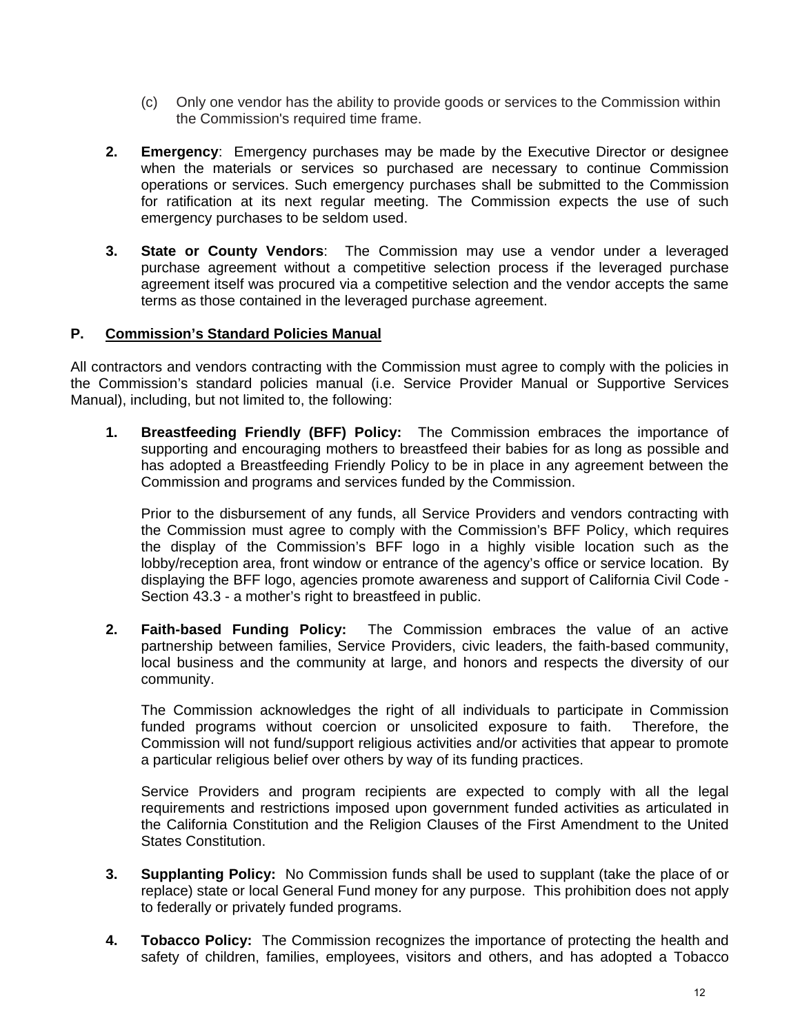- (c) Only one vendor has the ability to provide goods or services to the Commission within the Commission's required time frame.
- **2. Emergency**: Emergency purchases may be made by the Executive Director or designee when the materials or services so purchased are necessary to continue Commission operations or services. Such emergency purchases shall be submitted to the Commission for ratification at its next regular meeting. The Commission expects the use of such emergency purchases to be seldom used.
- **3. State or County Vendors**: The Commission may use a vendor under a leveraged purchase agreement without a competitive selection process if the leveraged purchase agreement itself was procured via a competitive selection and the vendor accepts the same terms as those contained in the leveraged purchase agreement.

# **P. Commission's Standard Policies Manual**

All contractors and vendors contracting with the Commission must agree to comply with the policies in the Commission's standard policies manual (i.e. Service Provider Manual or Supportive Services Manual), including, but not limited to, the following:

**1. Breastfeeding Friendly (BFF) Policy:** The Commission embraces the importance of supporting and encouraging mothers to breastfeed their babies for as long as possible and has adopted a Breastfeeding Friendly Policy to be in place in any agreement between the Commission and programs and services funded by the Commission.

Prior to the disbursement of any funds, all Service Providers and vendors contracting with the Commission must agree to comply with the Commission's BFF Policy, which requires the display of the Commission's BFF logo in a highly visible location such as the lobby/reception area, front window or entrance of the agency's office or service location. By displaying the BFF logo, agencies promote awareness and support of California Civil Code - Section 43.3 - a mother's right to breastfeed in public.

**2. Faith-based Funding Policy:** The Commission embraces the value of an active partnership between families, Service Providers, civic leaders, the faith-based community, local business and the community at large, and honors and respects the diversity of our community.

The Commission acknowledges the right of all individuals to participate in Commission funded programs without coercion or unsolicited exposure to faith. Therefore, the Commission will not fund/support religious activities and/or activities that appear to promote a particular religious belief over others by way of its funding practices.

 Service Providers and program recipients are expected to comply with all the legal requirements and restrictions imposed upon government funded activities as articulated in the California Constitution and the Religion Clauses of the First Amendment to the United States Constitution.

- **3. Supplanting Policy:** No Commission funds shall be used to supplant (take the place of or replace) state or local General Fund money for any purpose. This prohibition does not apply to federally or privately funded programs.
- **4. Tobacco Policy:** The Commission recognizes the importance of protecting the health and safety of children, families, employees, visitors and others, and has adopted a Tobacco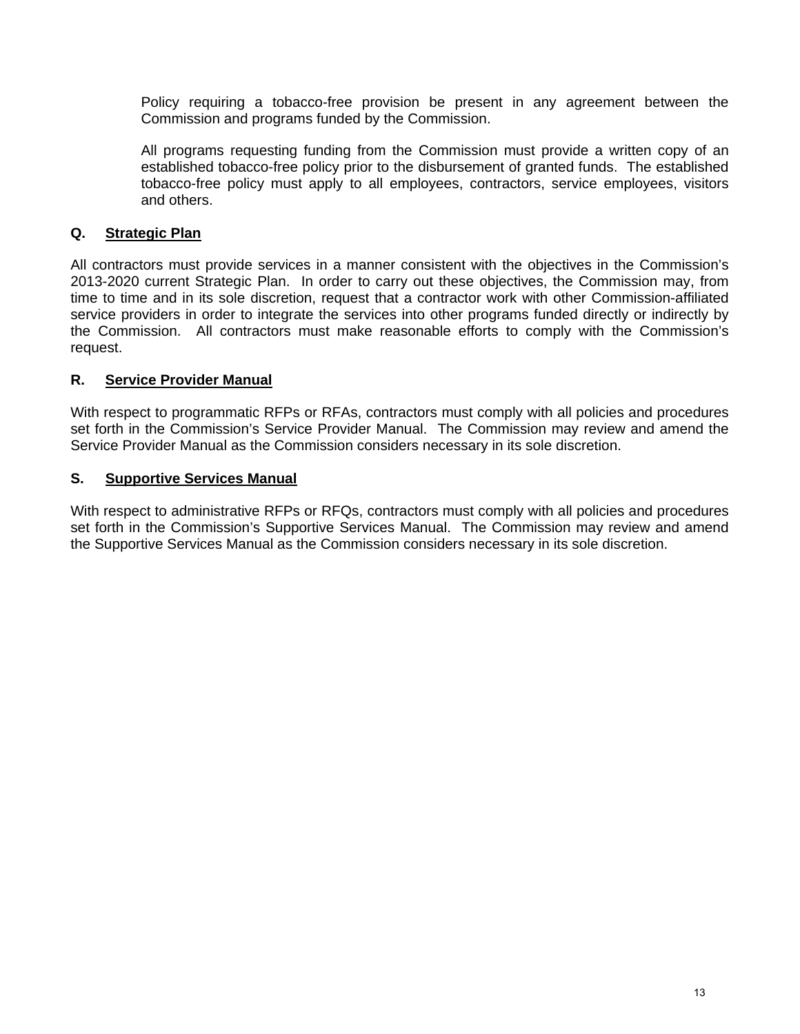Policy requiring a tobacco-free provision be present in any agreement between the Commission and programs funded by the Commission.

All programs requesting funding from the Commission must provide a written copy of an established tobacco-free policy prior to the disbursement of granted funds. The established tobacco-free policy must apply to all employees, contractors, service employees, visitors and others.

# **Q. Strategic Plan**

All contractors must provide services in a manner consistent with the objectives in the Commission's 2013-2020 current Strategic Plan. In order to carry out these objectives, the Commission may, from time to time and in its sole discretion, request that a contractor work with other Commission-affiliated service providers in order to integrate the services into other programs funded directly or indirectly by the Commission. All contractors must make reasonable efforts to comply with the Commission's request.

# **R. Service Provider Manual**

With respect to programmatic RFPs or RFAs, contractors must comply with all policies and procedures set forth in the Commission's Service Provider Manual. The Commission may review and amend the Service Provider Manual as the Commission considers necessary in its sole discretion.

# **S. Supportive Services Manual**

With respect to administrative RFPs or RFQs, contractors must comply with all policies and procedures set forth in the Commission's Supportive Services Manual. The Commission may review and amend the Supportive Services Manual as the Commission considers necessary in its sole discretion.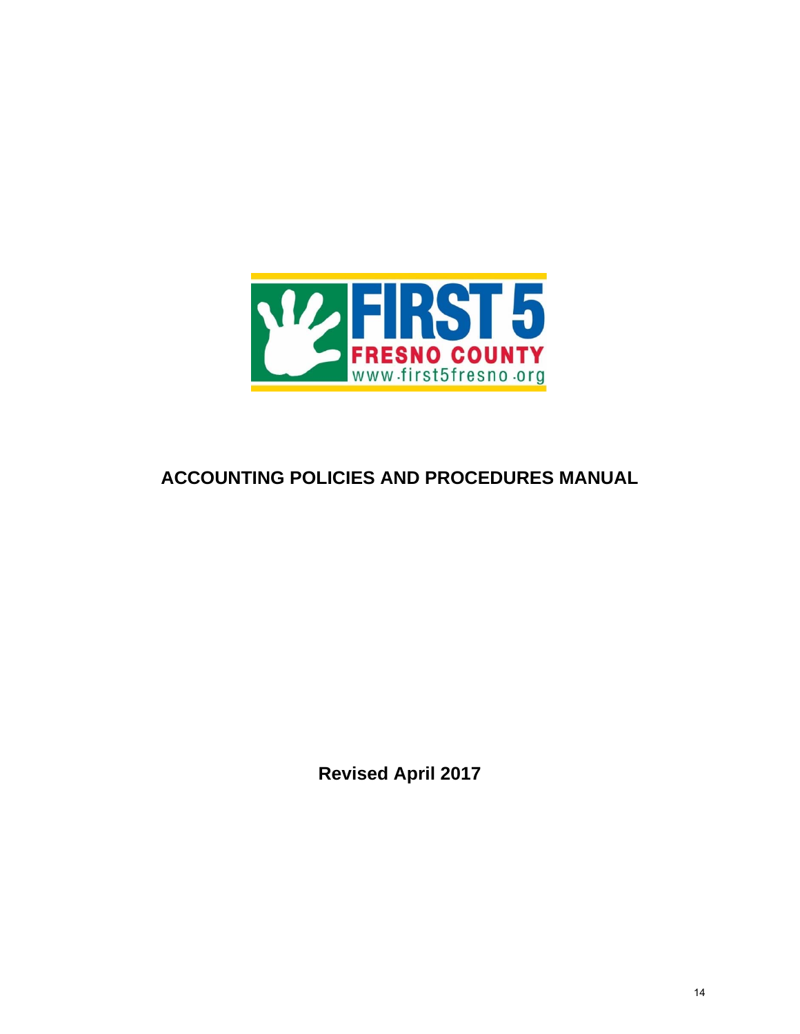

# **ACCOUNTING POLICIES AND PROCEDURES MANUAL**

**Revised April 2017**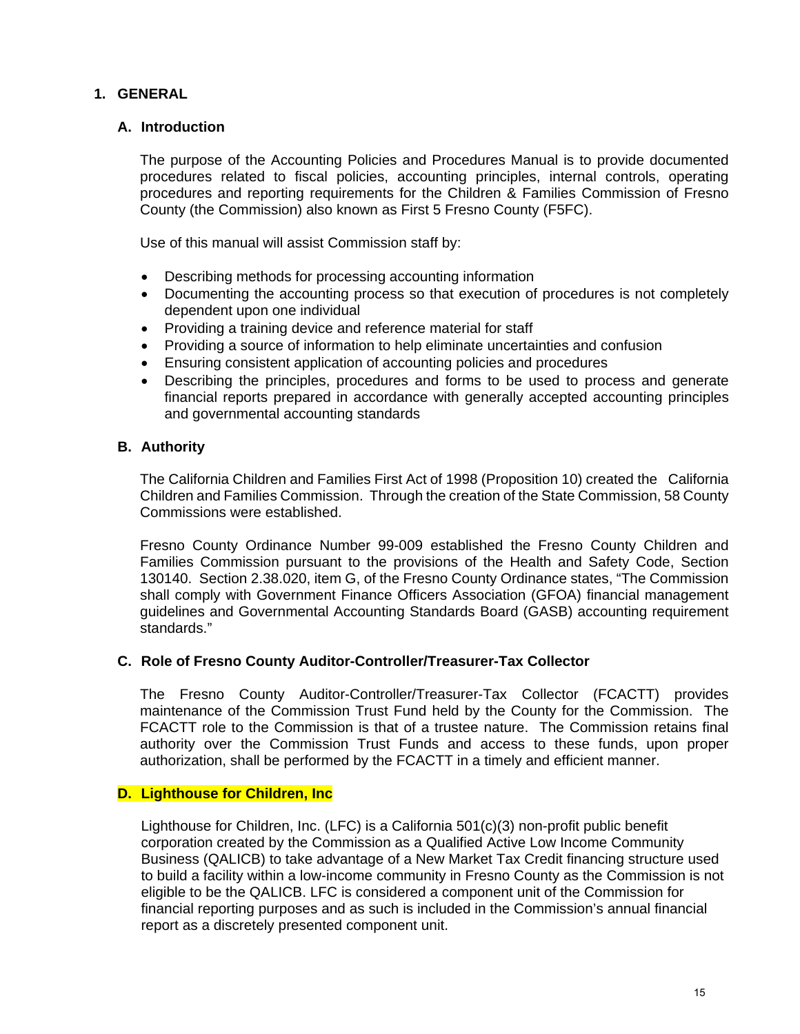# **1. GENERAL**

# **A. Introduction**

 The purpose of the Accounting Policies and Procedures Manual is to provide documented procedures related to fiscal policies, accounting principles, internal controls, operating procedures and reporting requirements for the Children & Families Commission of Fresno County (the Commission) also known as First 5 Fresno County (F5FC).

Use of this manual will assist Commission staff by:

- Describing methods for processing accounting information
- Documenting the accounting process so that execution of procedures is not completely dependent upon one individual
- Providing a training device and reference material for staff
- Providing a source of information to help eliminate uncertainties and confusion
- Ensuring consistent application of accounting policies and procedures
- Describing the principles, procedures and forms to be used to process and generate financial reports prepared in accordance with generally accepted accounting principles and governmental accounting standards

#### **B. Authority**

 The California Children and Families First Act of 1998 (Proposition 10) created the California Children and Families Commission. Through the creation of the State Commission, 58 County Commissions were established.

 Fresno County Ordinance Number 99-009 established the Fresno County Children and Families Commission pursuant to the provisions of the Health and Safety Code, Section 130140. Section 2.38.020, item G, of the Fresno County Ordinance states, "The Commission shall comply with Government Finance Officers Association (GFOA) financial management guidelines and Governmental Accounting Standards Board (GASB) accounting requirement standards."

#### **C. Role of Fresno County Auditor-Controller/Treasurer-Tax Collector**

 The Fresno County Auditor-Controller/Treasurer-Tax Collector (FCACTT) provides maintenance of the Commission Trust Fund held by the County for the Commission. The FCACTT role to the Commission is that of a trustee nature. The Commission retains final authority over the Commission Trust Funds and access to these funds, upon proper authorization, shall be performed by the FCACTT in a timely and efficient manner.

#### **D. Lighthouse for Children, Inc**

Lighthouse for Children, Inc. (LFC) is a California 501(c)(3) non-profit public benefit corporation created by the Commission as a Qualified Active Low Income Community Business (QALICB) to take advantage of a New Market Tax Credit financing structure used to build a facility within a low-income community in Fresno County as the Commission is not eligible to be the QALICB. LFC is considered a component unit of the Commission for financial reporting purposes and as such is included in the Commission's annual financial report as a discretely presented component unit.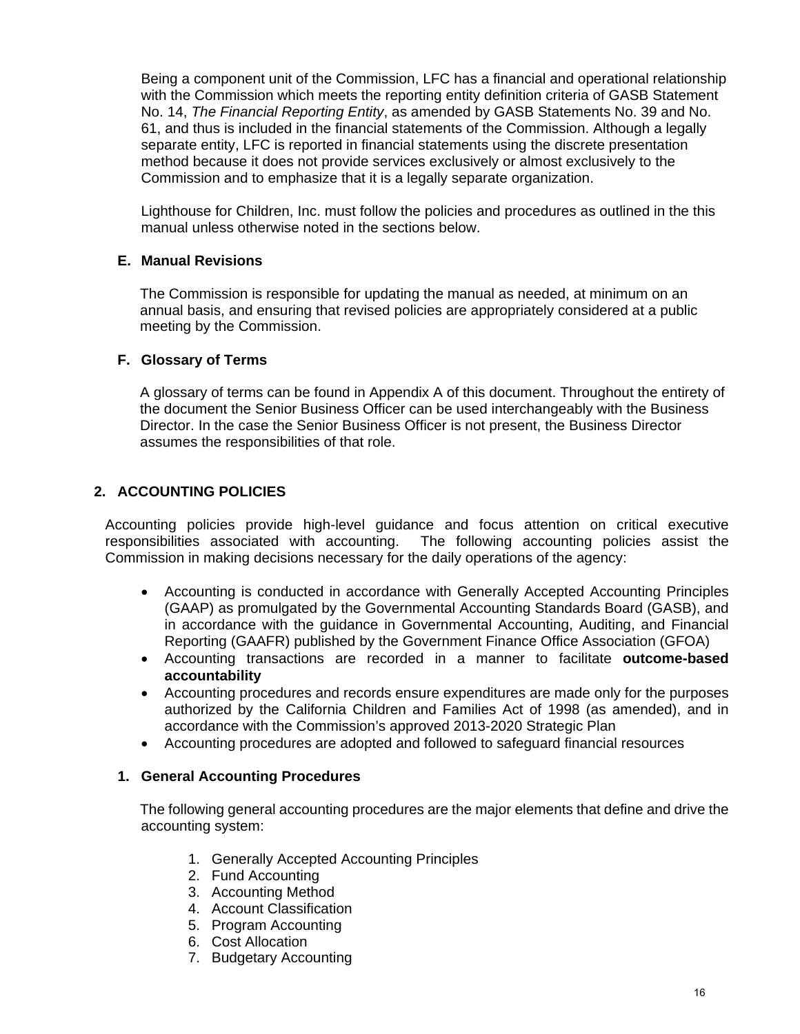Being a component unit of the Commission, LFC has a financial and operational relationship with the Commission which meets the reporting entity definition criteria of GASB Statement No. 14, *The Financial Reporting Entity*, as amended by GASB Statements No. 39 and No. 61, and thus is included in the financial statements of the Commission. Although a legally separate entity, LFC is reported in financial statements using the discrete presentation method because it does not provide services exclusively or almost exclusively to the Commission and to emphasize that it is a legally separate organization.

Lighthouse for Children, Inc. must follow the policies and procedures as outlined in the this manual unless otherwise noted in the sections below.

# **E. Manual Revisions**

 The Commission is responsible for updating the manual as needed, at minimum on an annual basis, and ensuring that revised policies are appropriately considered at a public meeting by the Commission.

#### **F. Glossary of Terms**

 A glossary of terms can be found in Appendix A of this document. Throughout the entirety of the document the Senior Business Officer can be used interchangeably with the Business Director. In the case the Senior Business Officer is not present, the Business Director assumes the responsibilities of that role.

# **2. ACCOUNTING POLICIES**

Accounting policies provide high-level guidance and focus attention on critical executive responsibilities associated with accounting. The following accounting policies assist the Commission in making decisions necessary for the daily operations of the agency:

- Accounting is conducted in accordance with Generally Accepted Accounting Principles (GAAP) as promulgated by the Governmental Accounting Standards Board (GASB), and in accordance with the guidance in Governmental Accounting, Auditing, and Financial Reporting (GAAFR) published by the Government Finance Office Association (GFOA)
- Accounting transactions are recorded in a manner to facilitate **outcome-based accountability**
- Accounting procedures and records ensure expenditures are made only for the purposes authorized by the California Children and Families Act of 1998 (as amended), and in accordance with the Commission's approved 2013-2020 Strategic Plan
- Accounting procedures are adopted and followed to safeguard financial resources

#### **1. General Accounting Procedures**

The following general accounting procedures are the major elements that define and drive the accounting system:

- 1. Generally Accepted Accounting Principles
- 2. Fund Accounting
- 3. Accounting Method
- 4. Account Classification
- 5. Program Accounting
- 6. Cost Allocation
- 7. Budgetary Accounting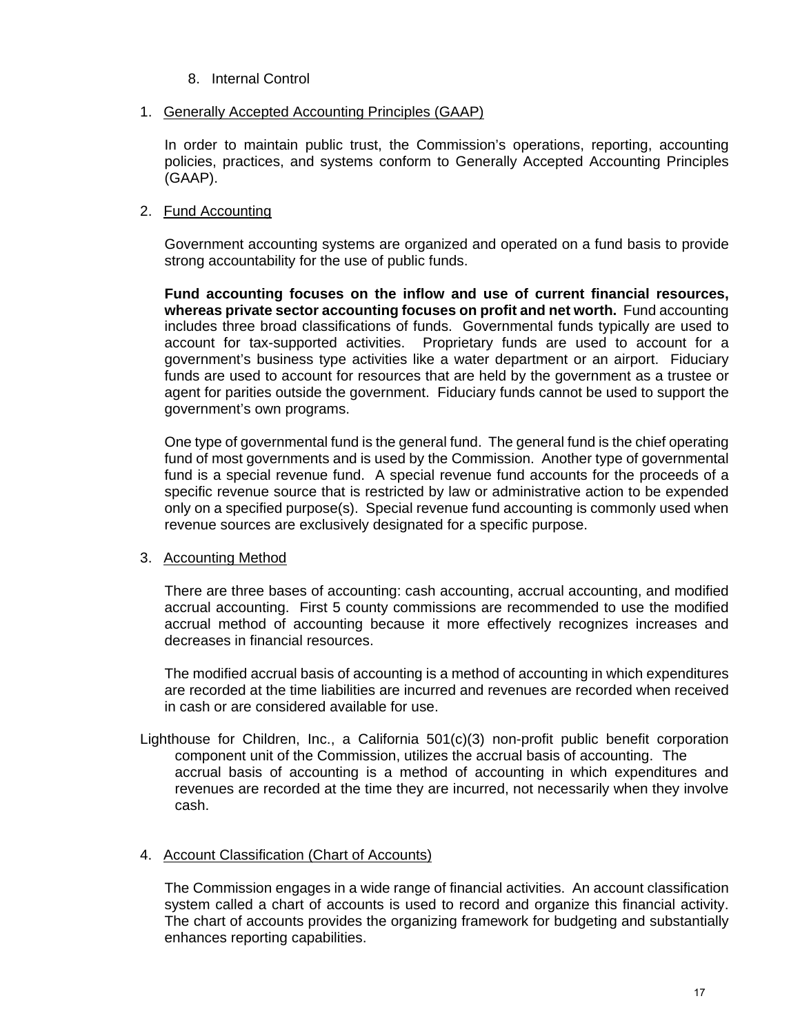- 8. Internal Control
- 1. Generally Accepted Accounting Principles (GAAP)

 In order to maintain public trust, the Commission's operations, reporting, accounting policies, practices, and systems conform to Generally Accepted Accounting Principles (GAAP).

# 2. Fund Accounting

Government accounting systems are organized and operated on a fund basis to provide strong accountability for the use of public funds.

**Fund accounting focuses on the inflow and use of current financial resources, whereas private sector accounting focuses on profit and net worth.** Fund accounting includes three broad classifications of funds. Governmental funds typically are used to account for tax-supported activities. Proprietary funds are used to account for a government's business type activities like a water department or an airport. Fiduciary funds are used to account for resources that are held by the government as a trustee or agent for parities outside the government. Fiduciary funds cannot be used to support the government's own programs.

 One type of governmental fund is the general fund. The general fund is the chief operating fund of most governments and is used by the Commission. Another type of governmental fund is a special revenue fund. A special revenue fund accounts for the proceeds of a specific revenue source that is restricted by law or administrative action to be expended only on a specified purpose(s). Special revenue fund accounting is commonly used when revenue sources are exclusively designated for a specific purpose.

# 3. Accounting Method

 There are three bases of accounting: cash accounting, accrual accounting, and modified accrual accounting. First 5 county commissions are recommended to use the modified accrual method of accounting because it more effectively recognizes increases and decreases in financial resources.

 The modified accrual basis of accounting is a method of accounting in which expenditures are recorded at the time liabilities are incurred and revenues are recorded when received in cash or are considered available for use.

Lighthouse for Children, Inc., a California 501(c)(3) non-profit public benefit corporation component unit of the Commission, utilizes the accrual basis of accounting. The accrual basis of accounting is a method of accounting in which expenditures and revenues are recorded at the time they are incurred, not necessarily when they involve cash.

# 4. Account Classification (Chart of Accounts)

 The Commission engages in a wide range of financial activities. An account classification system called a chart of accounts is used to record and organize this financial activity. The chart of accounts provides the organizing framework for budgeting and substantially enhances reporting capabilities.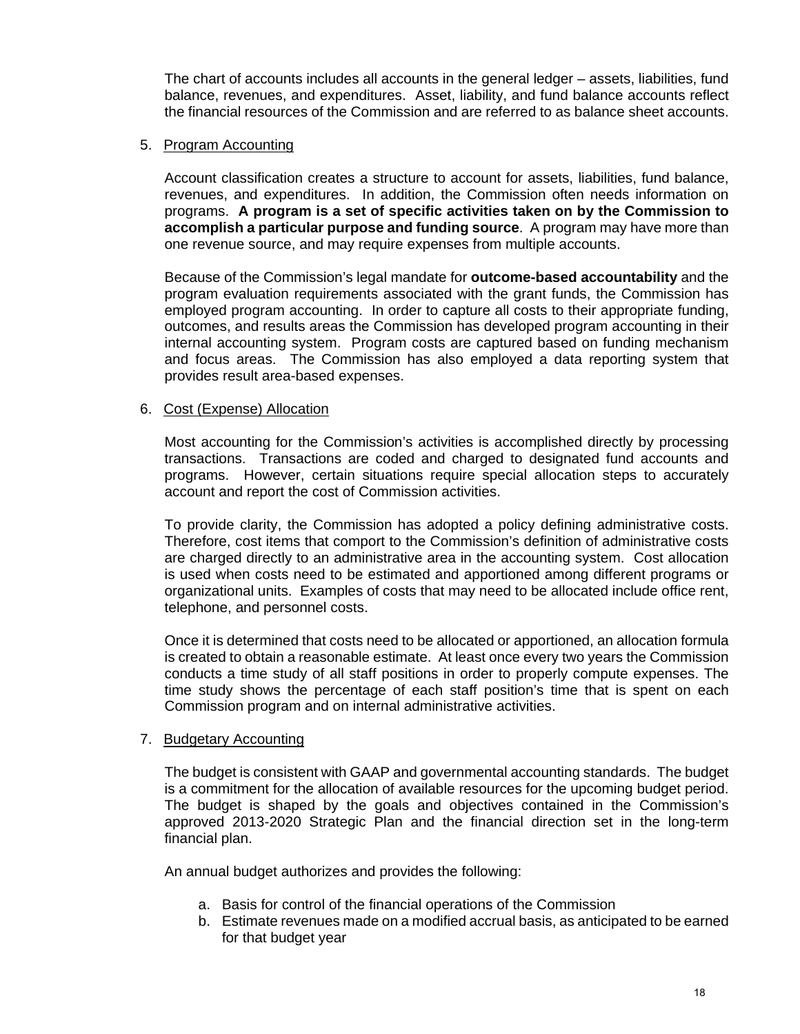The chart of accounts includes all accounts in the general ledger – assets, liabilities, fund balance, revenues, and expenditures. Asset, liability, and fund balance accounts reflect the financial resources of the Commission and are referred to as balance sheet accounts.

#### 5. Program Accounting

 Account classification creates a structure to account for assets, liabilities, fund balance, revenues, and expenditures. In addition, the Commission often needs information on programs. **A program is a set of specific activities taken on by the Commission to accomplish a particular purpose and funding source**. A program may have more than one revenue source, and may require expenses from multiple accounts.

 Because of the Commission's legal mandate for **outcome-based accountability** and the program evaluation requirements associated with the grant funds, the Commission has employed program accounting. In order to capture all costs to their appropriate funding, outcomes, and results areas the Commission has developed program accounting in their internal accounting system. Program costs are captured based on funding mechanism and focus areas. The Commission has also employed a data reporting system that provides result area-based expenses.

#### 6. Cost (Expense) Allocation

 Most accounting for the Commission's activities is accomplished directly by processing transactions. Transactions are coded and charged to designated fund accounts and programs. However, certain situations require special allocation steps to accurately account and report the cost of Commission activities.

 To provide clarity, the Commission has adopted a policy defining administrative costs. Therefore, cost items that comport to the Commission's definition of administrative costs are charged directly to an administrative area in the accounting system. Cost allocation is used when costs need to be estimated and apportioned among different programs or organizational units. Examples of costs that may need to be allocated include office rent, telephone, and personnel costs.

 Once it is determined that costs need to be allocated or apportioned, an allocation formula is created to obtain a reasonable estimate. At least once every two years the Commission conducts a time study of all staff positions in order to properly compute expenses. The time study shows the percentage of each staff position's time that is spent on each Commission program and on internal administrative activities.

#### 7. Budgetary Accounting

The budget is consistent with GAAP and governmental accounting standards. The budget is a commitment for the allocation of available resources for the upcoming budget period. The budget is shaped by the goals and objectives contained in the Commission's approved 2013-2020 Strategic Plan and the financial direction set in the long-term financial plan.

An annual budget authorizes and provides the following:

- a. Basis for control of the financial operations of the Commission
- b. Estimate revenues made on a modified accrual basis, as anticipated to be earned for that budget year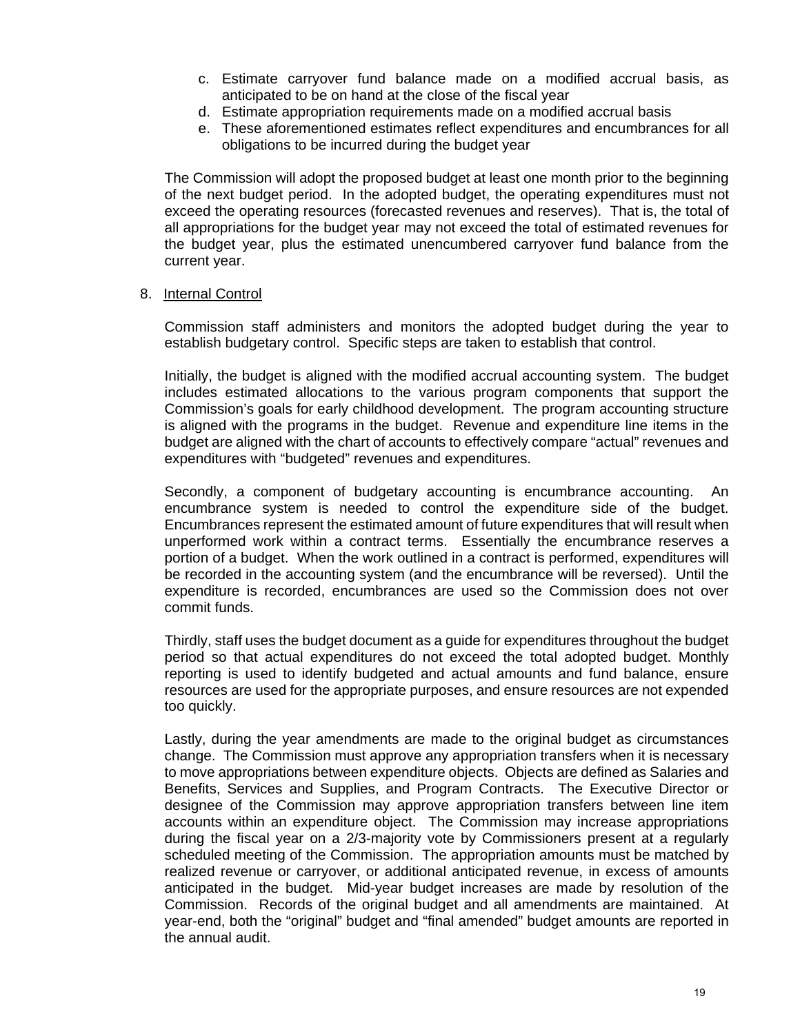- c. Estimate carryover fund balance made on a modified accrual basis, as anticipated to be on hand at the close of the fiscal year
- d. Estimate appropriation requirements made on a modified accrual basis
- e. These aforementioned estimates reflect expenditures and encumbrances for all obligations to be incurred during the budget year

The Commission will adopt the proposed budget at least one month prior to the beginning of the next budget period. In the adopted budget, the operating expenditures must not exceed the operating resources (forecasted revenues and reserves). That is, the total of all appropriations for the budget year may not exceed the total of estimated revenues for the budget year, plus the estimated unencumbered carryover fund balance from the current year.

#### 8. Internal Control

Commission staff administers and monitors the adopted budget during the year to establish budgetary control. Specific steps are taken to establish that control.

 Initially, the budget is aligned with the modified accrual accounting system. The budget includes estimated allocations to the various program components that support the Commission's goals for early childhood development. The program accounting structure is aligned with the programs in the budget. Revenue and expenditure line items in the budget are aligned with the chart of accounts to effectively compare "actual" revenues and expenditures with "budgeted" revenues and expenditures.

 Secondly, a component of budgetary accounting is encumbrance accounting. An encumbrance system is needed to control the expenditure side of the budget. Encumbrances represent the estimated amount of future expenditures that will result when unperformed work within a contract terms. Essentially the encumbrance reserves a portion of a budget. When the work outlined in a contract is performed, expenditures will be recorded in the accounting system (and the encumbrance will be reversed). Until the expenditure is recorded, encumbrances are used so the Commission does not over commit funds.

Thirdly, staff uses the budget document as a guide for expenditures throughout the budget period so that actual expenditures do not exceed the total adopted budget. Monthly reporting is used to identify budgeted and actual amounts and fund balance, ensure resources are used for the appropriate purposes, and ensure resources are not expended too quickly.

Lastly, during the year amendments are made to the original budget as circumstances change. The Commission must approve any appropriation transfers when it is necessary to move appropriations between expenditure objects. Objects are defined as Salaries and Benefits, Services and Supplies, and Program Contracts. The Executive Director or designee of the Commission may approve appropriation transfers between line item accounts within an expenditure object. The Commission may increase appropriations during the fiscal year on a 2/3-majority vote by Commissioners present at a regularly scheduled meeting of the Commission. The appropriation amounts must be matched by realized revenue or carryover, or additional anticipated revenue, in excess of amounts anticipated in the budget. Mid-year budget increases are made by resolution of the Commission. Records of the original budget and all amendments are maintained. At year-end, both the "original" budget and "final amended" budget amounts are reported in the annual audit.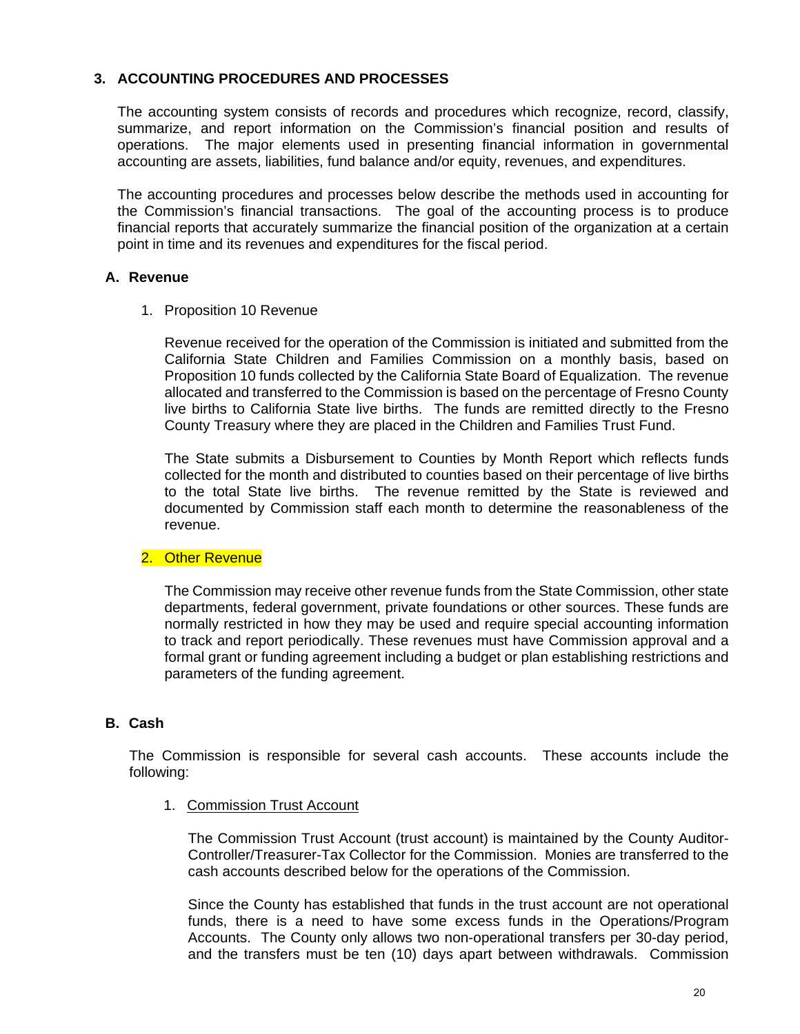# **3. ACCOUNTING PROCEDURES AND PROCESSES**

The accounting system consists of records and procedures which recognize, record, classify, summarize, and report information on the Commission's financial position and results of operations. The major elements used in presenting financial information in governmental accounting are assets, liabilities, fund balance and/or equity, revenues, and expenditures.

The accounting procedures and processes below describe the methods used in accounting for the Commission's financial transactions. The goal of the accounting process is to produce financial reports that accurately summarize the financial position of the organization at a certain point in time and its revenues and expenditures for the fiscal period.

#### **A. Revenue**

1. Proposition 10 Revenue

Revenue received for the operation of the Commission is initiated and submitted from the California State Children and Families Commission on a monthly basis, based on Proposition 10 funds collected by the California State Board of Equalization. The revenue allocated and transferred to the Commission is based on the percentage of Fresno County live births to California State live births. The funds are remitted directly to the Fresno County Treasury where they are placed in the Children and Families Trust Fund.

The State submits a Disbursement to Counties by Month Report which reflects funds collected for the month and distributed to counties based on their percentage of live births to the total State live births. The revenue remitted by the State is reviewed and documented by Commission staff each month to determine the reasonableness of the revenue.

# 2. Other Revenue

The Commission may receive other revenue funds from the State Commission, other state departments, federal government, private foundations or other sources. These funds are normally restricted in how they may be used and require special accounting information to track and report periodically. These revenues must have Commission approval and a formal grant or funding agreement including a budget or plan establishing restrictions and parameters of the funding agreement.

# **B. Cash**

The Commission is responsible for several cash accounts. These accounts include the following:

1. Commission Trust Account

The Commission Trust Account (trust account) is maintained by the County Auditor-Controller/Treasurer-Tax Collector for the Commission. Monies are transferred to the cash accounts described below for the operations of the Commission.

Since the County has established that funds in the trust account are not operational funds, there is a need to have some excess funds in the Operations/Program Accounts. The County only allows two non-operational transfers per 30-day period, and the transfers must be ten (10) days apart between withdrawals. Commission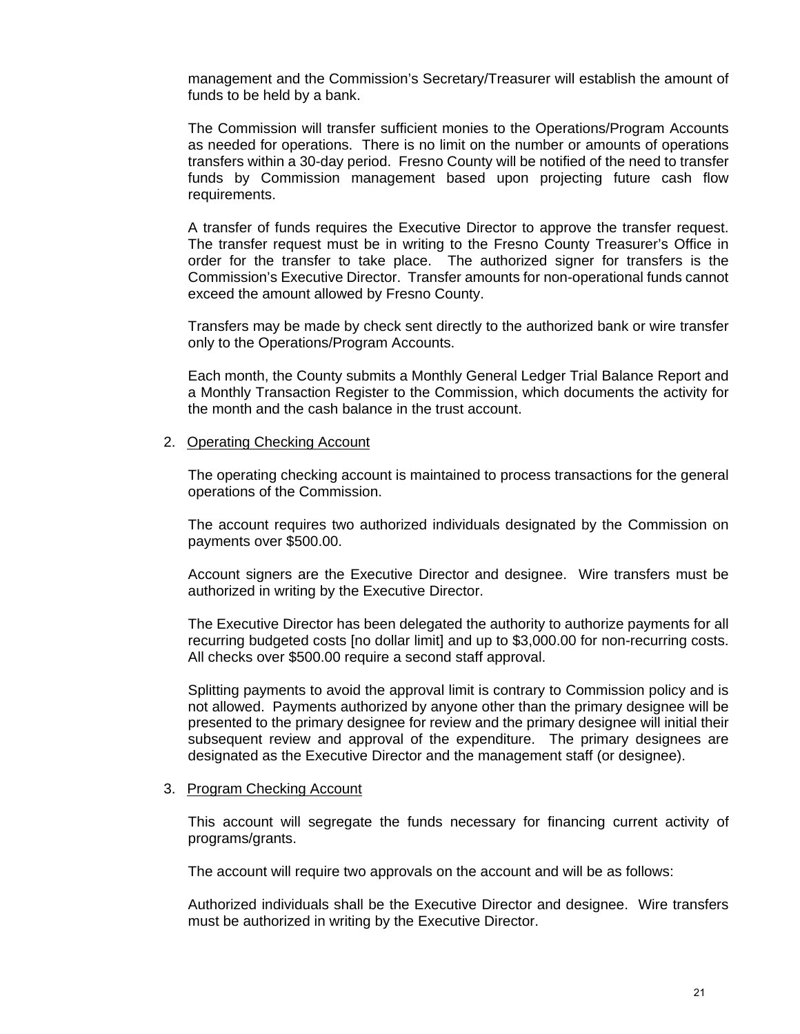management and the Commission's Secretary/Treasurer will establish the amount of funds to be held by a bank.

 The Commission will transfer sufficient monies to the Operations/Program Accounts as needed for operations. There is no limit on the number or amounts of operations transfers within a 30-day period. Fresno County will be notified of the need to transfer funds by Commission management based upon projecting future cash flow requirements.

 A transfer of funds requires the Executive Director to approve the transfer request. The transfer request must be in writing to the Fresno County Treasurer's Office in order for the transfer to take place. The authorized signer for transfers is the Commission's Executive Director. Transfer amounts for non-operational funds cannot exceed the amount allowed by Fresno County.

 Transfers may be made by check sent directly to the authorized bank or wire transfer only to the Operations/Program Accounts.

 Each month, the County submits a Monthly General Ledger Trial Balance Report and a Monthly Transaction Register to the Commission, which documents the activity for the month and the cash balance in the trust account.

#### 2. Operating Checking Account

The operating checking account is maintained to process transactions for the general operations of the Commission.

The account requires two authorized individuals designated by the Commission on payments over \$500.00.

Account signers are the Executive Director and designee. Wire transfers must be authorized in writing by the Executive Director.

The Executive Director has been delegated the authority to authorize payments for all recurring budgeted costs [no dollar limit] and up to \$3,000.00 for non-recurring costs. All checks over \$500.00 require a second staff approval.

Splitting payments to avoid the approval limit is contrary to Commission policy and is not allowed. Payments authorized by anyone other than the primary designee will be presented to the primary designee for review and the primary designee will initial their subsequent review and approval of the expenditure. The primary designees are designated as the Executive Director and the management staff (or designee).

#### 3. Program Checking Account

 This account will segregate the funds necessary for financing current activity of programs/grants.

The account will require two approvals on the account and will be as follows:

Authorized individuals shall be the Executive Director and designee. Wire transfers must be authorized in writing by the Executive Director.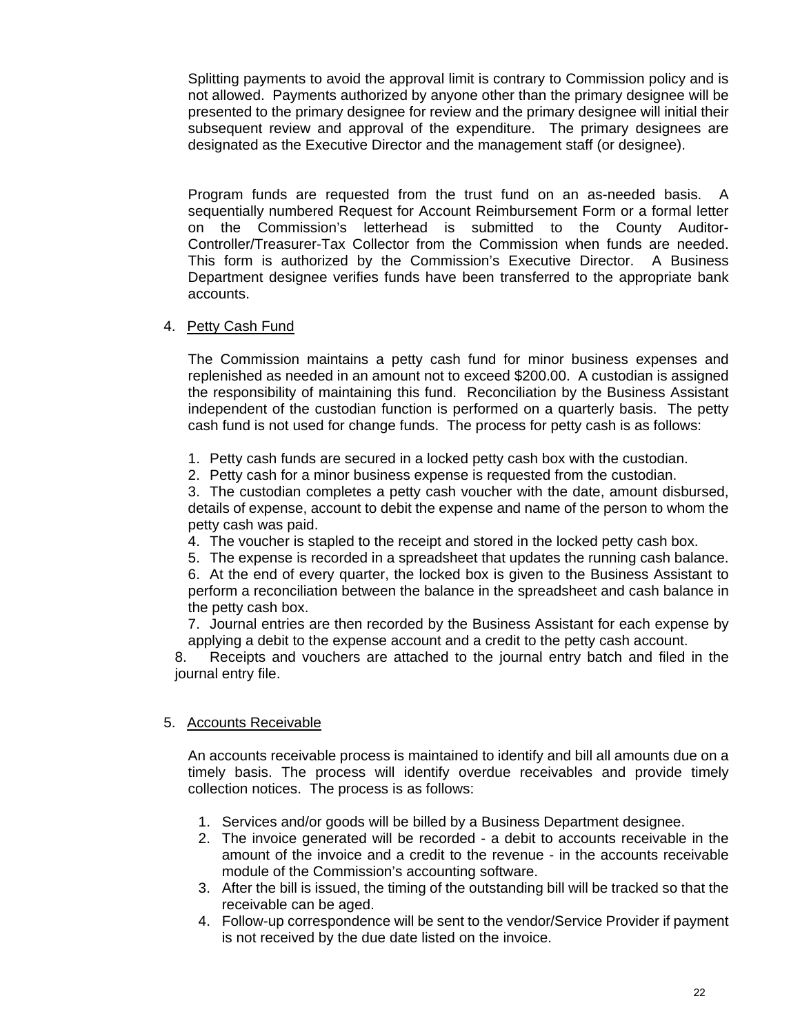Splitting payments to avoid the approval limit is contrary to Commission policy and is not allowed. Payments authorized by anyone other than the primary designee will be presented to the primary designee for review and the primary designee will initial their subsequent review and approval of the expenditure. The primary designees are designated as the Executive Director and the management staff (or designee).

Program funds are requested from the trust fund on an as-needed basis. A sequentially numbered Request for Account Reimbursement Form or a formal letter on the Commission's letterhead is submitted to the County Auditor-Controller/Treasurer-Tax Collector from the Commission when funds are needed. This form is authorized by the Commission's Executive Director. A Business Department designee verifies funds have been transferred to the appropriate bank accounts.

# 4. Petty Cash Fund

The Commission maintains a petty cash fund for minor business expenses and replenished as needed in an amount not to exceed \$200.00. A custodian is assigned the responsibility of maintaining this fund. Reconciliation by the Business Assistant independent of the custodian function is performed on a quarterly basis. The petty cash fund is not used for change funds. The process for petty cash is as follows:

- 1. Petty cash funds are secured in a locked petty cash box with the custodian.
- 2. Petty cash for a minor business expense is requested from the custodian.

3. The custodian completes a petty cash voucher with the date, amount disbursed, details of expense, account to debit the expense and name of the person to whom the petty cash was paid.

4. The voucher is stapled to the receipt and stored in the locked petty cash box.

5. The expense is recorded in a spreadsheet that updates the running cash balance.

6. At the end of every quarter, the locked box is given to the Business Assistant to perform a reconciliation between the balance in the spreadsheet and cash balance in the petty cash box.

7. Journal entries are then recorded by the Business Assistant for each expense by applying a debit to the expense account and a credit to the petty cash account.

8. Receipts and vouchers are attached to the journal entry batch and filed in the journal entry file.

# 5. Accounts Receivable

An accounts receivable process is maintained to identify and bill all amounts due on a timely basis. The process will identify overdue receivables and provide timely collection notices. The process is as follows:

- 1. Services and/or goods will be billed by a Business Department designee.
- 2. The invoice generated will be recorded a debit to accounts receivable in the amount of the invoice and a credit to the revenue - in the accounts receivable module of the Commission's accounting software.
- 3. After the bill is issued, the timing of the outstanding bill will be tracked so that the receivable can be aged.
- 4. Follow-up correspondence will be sent to the vendor/Service Provider if payment is not received by the due date listed on the invoice.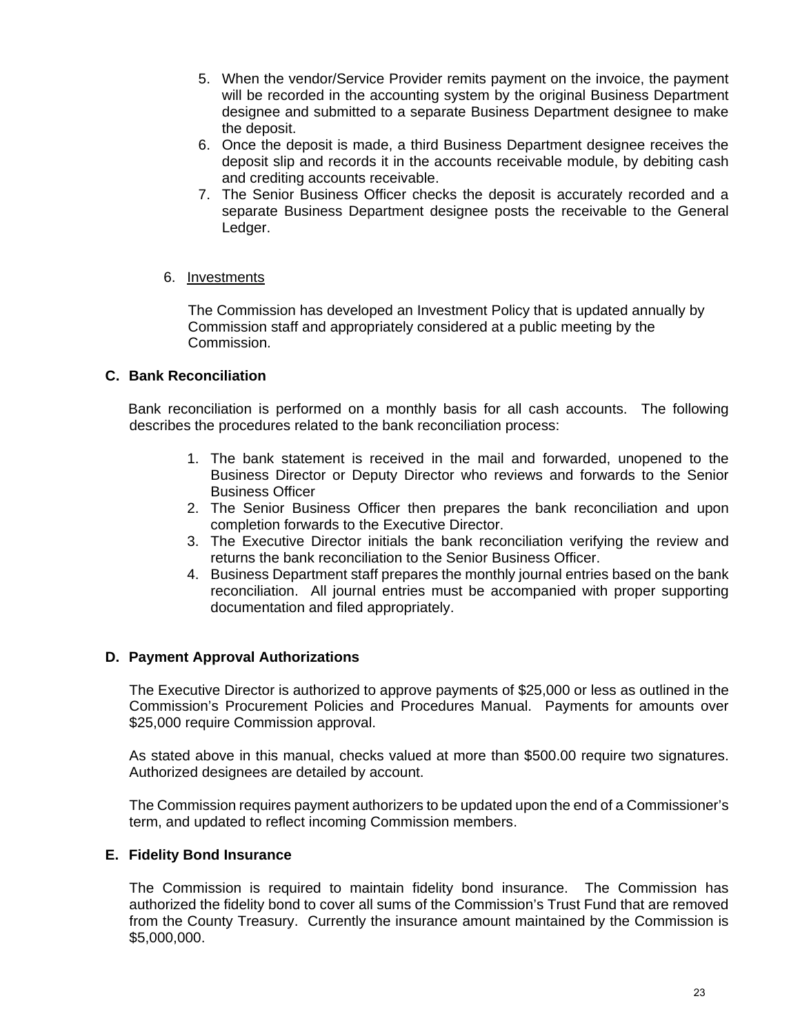- 5. When the vendor/Service Provider remits payment on the invoice, the payment will be recorded in the accounting system by the original Business Department designee and submitted to a separate Business Department designee to make the deposit.
- 6. Once the deposit is made, a third Business Department designee receives the deposit slip and records it in the accounts receivable module, by debiting cash and crediting accounts receivable.
- 7. The Senior Business Officer checks the deposit is accurately recorded and a separate Business Department designee posts the receivable to the General Ledger.

#### 6. Investments

The Commission has developed an Investment Policy that is updated annually by Commission staff and appropriately considered at a public meeting by the Commission.

# **C. Bank Reconciliation**

Bank reconciliation is performed on a monthly basis for all cash accounts. The following describes the procedures related to the bank reconciliation process:

- 1. The bank statement is received in the mail and forwarded, unopened to the Business Director or Deputy Director who reviews and forwards to the Senior Business Officer
- 2. The Senior Business Officer then prepares the bank reconciliation and upon completion forwards to the Executive Director.
- 3. The Executive Director initials the bank reconciliation verifying the review and returns the bank reconciliation to the Senior Business Officer.
- 4. Business Department staff prepares the monthly journal entries based on the bank reconciliation. All journal entries must be accompanied with proper supporting documentation and filed appropriately.

# **D. Payment Approval Authorizations**

The Executive Director is authorized to approve payments of \$25,000 or less as outlined in the Commission's Procurement Policies and Procedures Manual. Payments for amounts over \$25,000 require Commission approval.

As stated above in this manual, checks valued at more than \$500.00 require two signatures. Authorized designees are detailed by account.

The Commission requires payment authorizers to be updated upon the end of a Commissioner's term, and updated to reflect incoming Commission members.

#### **E. Fidelity Bond Insurance**

The Commission is required to maintain fidelity bond insurance. The Commission has authorized the fidelity bond to cover all sums of the Commission's Trust Fund that are removed from the County Treasury. Currently the insurance amount maintained by the Commission is \$5,000,000.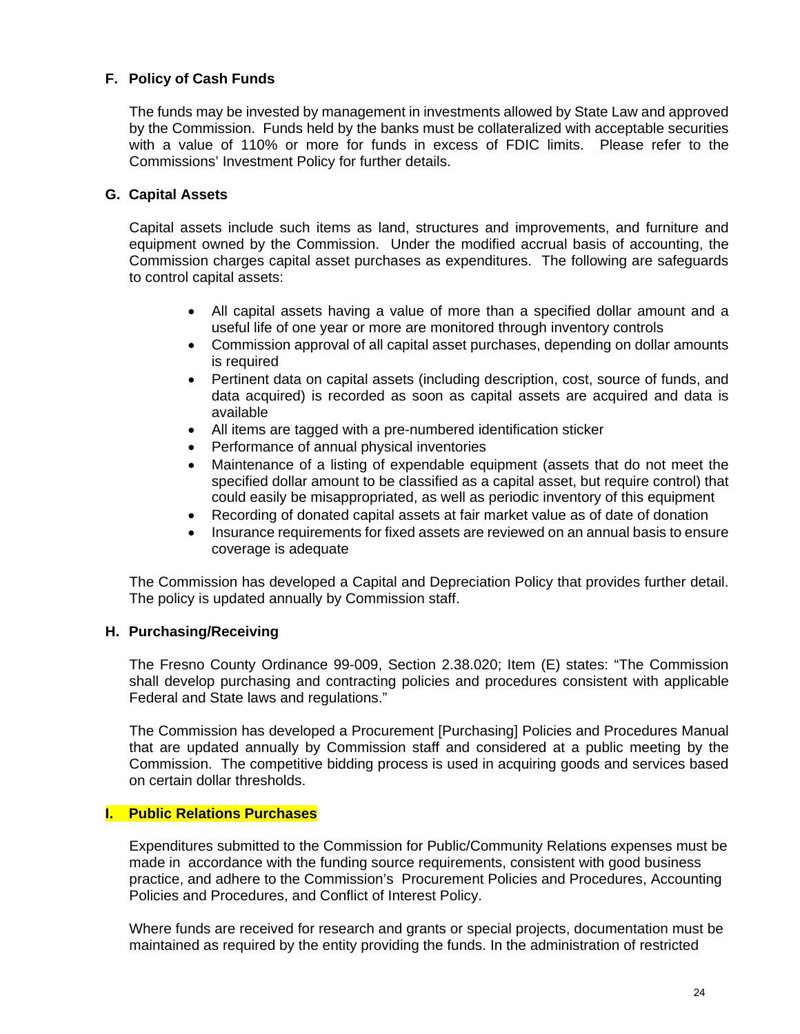# **F. Policy of Cash Funds**

The funds may be invested by management in investments allowed by State Law and approved by the Commission. Funds held by the banks must be collateralized with acceptable securities with a value of 110% or more for funds in excess of FDIC limits. Please refer to the Commissions' Investment Policy for further details.

# **G. Capital Assets**

Capital assets include such items as land, structures and improvements, and furniture and equipment owned by the Commission. Under the modified accrual basis of accounting, the Commission charges capital asset purchases as expenditures. The following are safeguards to control capital assets:

- All capital assets having a value of more than a specified dollar amount and a useful life of one year or more are monitored through inventory controls
- Commission approval of all capital asset purchases, depending on dollar amounts is required
- Pertinent data on capital assets (including description, cost, source of funds, and data acquired) is recorded as soon as capital assets are acquired and data is available
- All items are tagged with a pre-numbered identification sticker
- Performance of annual physical inventories
- Maintenance of a listing of expendable equipment (assets that do not meet the specified dollar amount to be classified as a capital asset, but require control) that could easily be misappropriated, as well as periodic inventory of this equipment
- Recording of donated capital assets at fair market value as of date of donation
- Insurance requirements for fixed assets are reviewed on an annual basis to ensure coverage is adequate

The Commission has developed a Capital and Depreciation Policy that provides further detail. The policy is updated annually by Commission staff.

#### **H. Purchasing/Receiving**

The Fresno County Ordinance 99-009, Section 2.38.020; Item (E) states: "The Commission shall develop purchasing and contracting policies and procedures consistent with applicable Federal and State laws and regulations."

The Commission has developed a Procurement [Purchasing] Policies and Procedures Manual that are updated annually by Commission staff and considered at a public meeting by the Commission. The competitive bidding process is used in acquiring goods and services based on certain dollar thresholds.

#### **I. Public Relations Purchases**

Expenditures submitted to the Commission for Public/Community Relations expenses must be made in accordance with the funding source requirements, consistent with good business practice, and adhere to the Commission's Procurement Policies and Procedures, Accounting Policies and Procedures, and Conflict of Interest Policy.

Where funds are received for research and grants or special projects, documentation must be maintained as required by the entity providing the funds. In the administration of restricted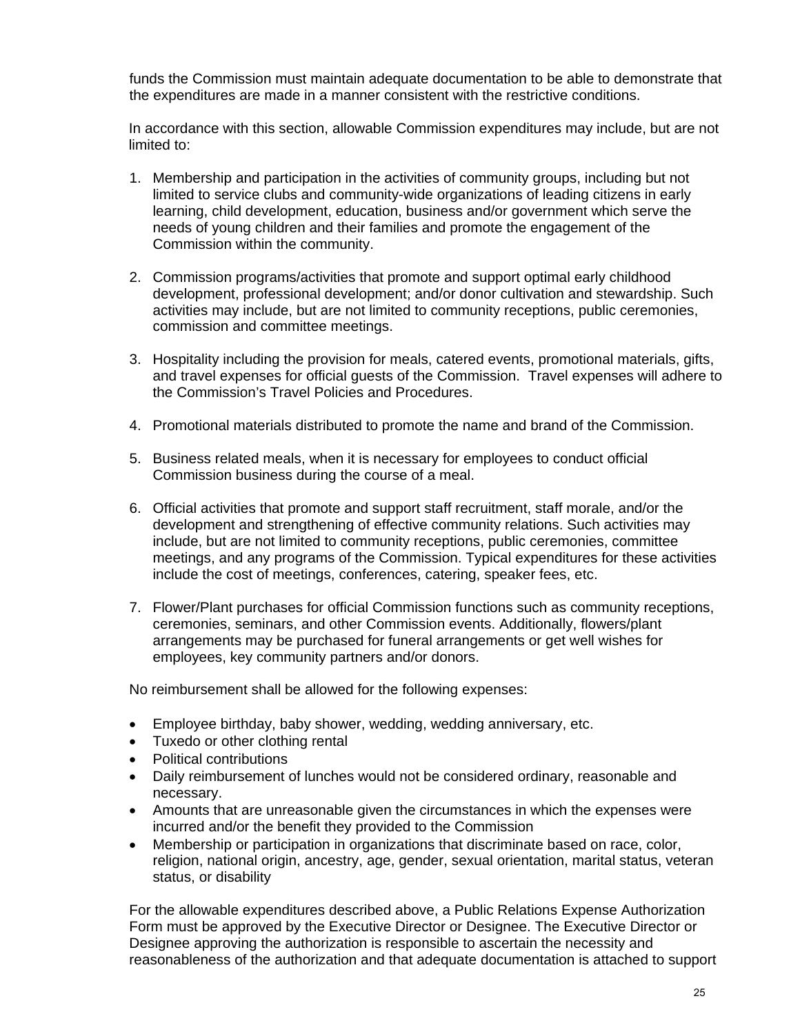funds the Commission must maintain adequate documentation to be able to demonstrate that the expenditures are made in a manner consistent with the restrictive conditions.

In accordance with this section, allowable Commission expenditures may include, but are not limited to:

- 1. Membership and participation in the activities of community groups, including but not limited to service clubs and community-wide organizations of leading citizens in early learning, child development, education, business and/or government which serve the needs of young children and their families and promote the engagement of the Commission within the community.
- 2. Commission programs/activities that promote and support optimal early childhood development, professional development; and/or donor cultivation and stewardship. Such activities may include, but are not limited to community receptions, public ceremonies, commission and committee meetings.
- 3. Hospitality including the provision for meals, catered events, promotional materials, gifts, and travel expenses for official guests of the Commission. Travel expenses will adhere to the Commission's Travel Policies and Procedures.
- 4. Promotional materials distributed to promote the name and brand of the Commission.
- 5. Business related meals, when it is necessary for employees to conduct official Commission business during the course of a meal.
- 6. Official activities that promote and support staff recruitment, staff morale, and/or the development and strengthening of effective community relations. Such activities may include, but are not limited to community receptions, public ceremonies, committee meetings, and any programs of the Commission. Typical expenditures for these activities include the cost of meetings, conferences, catering, speaker fees, etc.
- 7. Flower/Plant purchases for official Commission functions such as community receptions, ceremonies, seminars, and other Commission events. Additionally, flowers/plant arrangements may be purchased for funeral arrangements or get well wishes for employees, key community partners and/or donors.

No reimbursement shall be allowed for the following expenses:

- Employee birthday, baby shower, wedding, wedding anniversary, etc.
- Tuxedo or other clothing rental
- Political contributions
- Daily reimbursement of lunches would not be considered ordinary, reasonable and necessary.
- Amounts that are unreasonable given the circumstances in which the expenses were incurred and/or the benefit they provided to the Commission
- Membership or participation in organizations that discriminate based on race, color, religion, national origin, ancestry, age, gender, sexual orientation, marital status, veteran status, or disability

For the allowable expenditures described above, a Public Relations Expense Authorization Form must be approved by the Executive Director or Designee. The Executive Director or Designee approving the authorization is responsible to ascertain the necessity and reasonableness of the authorization and that adequate documentation is attached to support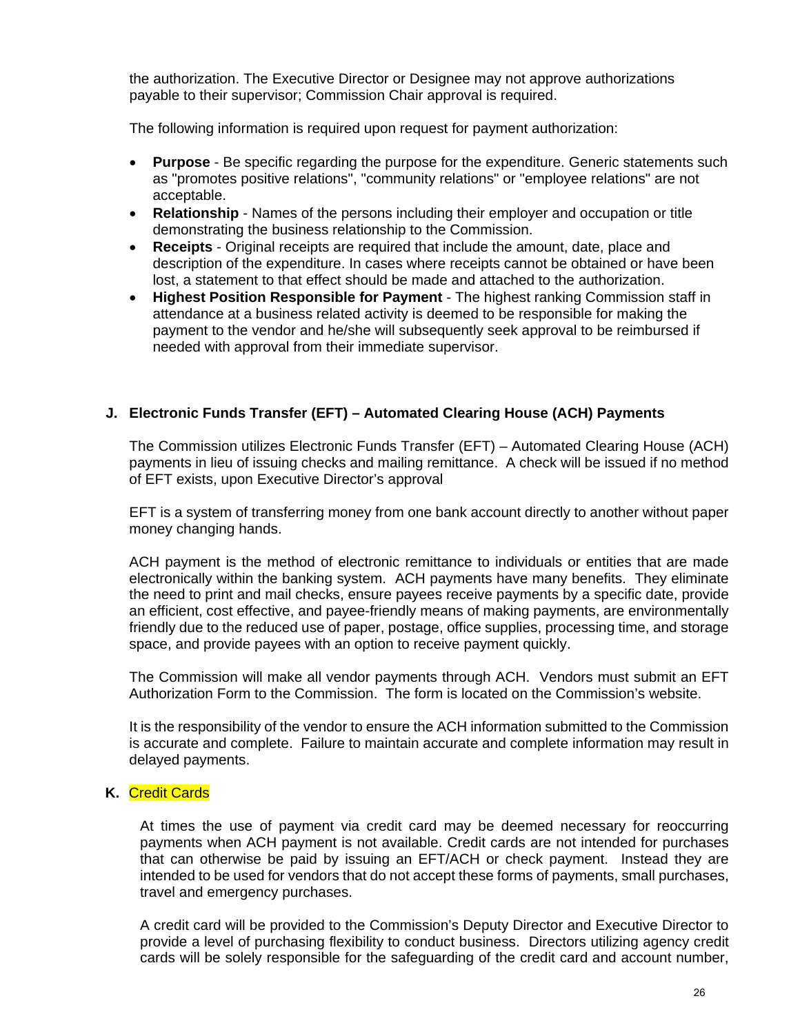the authorization. The Executive Director or Designee may not approve authorizations payable to their supervisor; Commission Chair approval is required.

The following information is required upon request for payment authorization:

- **Purpose**  Be specific regarding the purpose for the expenditure. Generic statements such as "promotes positive relations", "community relations" or "employee relations" are not acceptable.
- **Relationship**  Names of the persons including their employer and occupation or title demonstrating the business relationship to the Commission.
- **Receipts**  Original receipts are required that include the amount, date, place and description of the expenditure. In cases where receipts cannot be obtained or have been lost, a statement to that effect should be made and attached to the authorization.
- **Highest Position Responsible for Payment**  The highest ranking Commission staff in attendance at a business related activity is deemed to be responsible for making the payment to the vendor and he/she will subsequently seek approval to be reimbursed if needed with approval from their immediate supervisor.

# **J. Electronic Funds Transfer (EFT) – Automated Clearing House (ACH) Payments**

The Commission utilizes Electronic Funds Transfer (EFT) – Automated Clearing House (ACH) payments in lieu of issuing checks and mailing remittance. A check will be issued if no method of EFT exists, upon Executive Director's approval

EFT is a system of transferring money from one bank account directly to another without paper money changing hands.

ACH payment is the method of electronic remittance to individuals or entities that are made electronically within the banking system. ACH payments have many benefits. They eliminate the need to print and mail checks, ensure payees receive payments by a specific date, provide an efficient, cost effective, and payee-friendly means of making payments, are environmentally friendly due to the reduced use of paper, postage, office supplies, processing time, and storage space, and provide payees with an option to receive payment quickly.

The Commission will make all vendor payments through ACH. Vendors must submit an EFT Authorization Form to the Commission. The form is located on the Commission's website.

It is the responsibility of the vendor to ensure the ACH information submitted to the Commission is accurate and complete. Failure to maintain accurate and complete information may result in delayed payments.

# **K.** Credit Cards

At times the use of payment via credit card may be deemed necessary for reoccurring payments when ACH payment is not available. Credit cards are not intended for purchases that can otherwise be paid by issuing an EFT/ACH or check payment. Instead they are intended to be used for vendors that do not accept these forms of payments, small purchases, travel and emergency purchases.

A credit card will be provided to the Commission's Deputy Director and Executive Director to provide a level of purchasing flexibility to conduct business. Directors utilizing agency credit cards will be solely responsible for the safeguarding of the credit card and account number,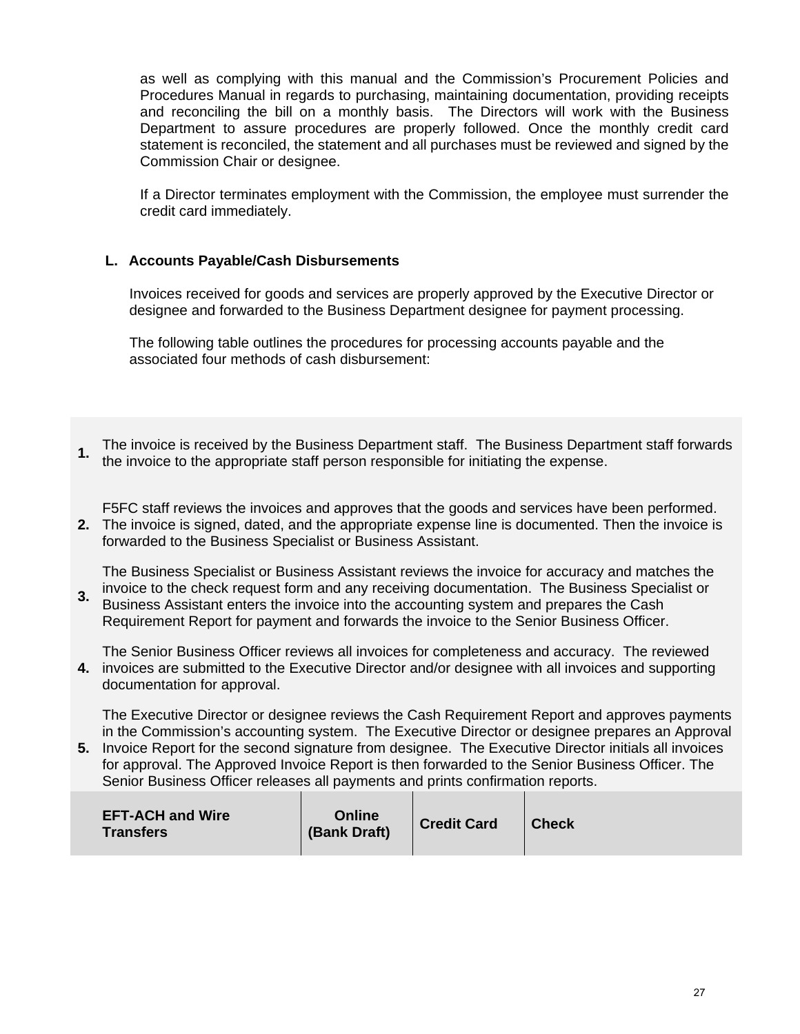as well as complying with this manual and the Commission's Procurement Policies and Procedures Manual in regards to purchasing, maintaining documentation, providing receipts and reconciling the bill on a monthly basis. The Directors will work with the Business Department to assure procedures are properly followed. Once the monthly credit card statement is reconciled, the statement and all purchases must be reviewed and signed by the Commission Chair or designee.

If a Director terminates employment with the Commission, the employee must surrender the credit card immediately.

# **L. Accounts Payable/Cash Disbursements**

Invoices received for goods and services are properly approved by the Executive Director or designee and forwarded to the Business Department designee for payment processing.

The following table outlines the procedures for processing accounts payable and the associated four methods of cash disbursement:

**1.** The invoice is received by the Business Department staff. The Business Department staff forwards the invoice to the appropriate staff person responsible for initiating the expense.

**2.**  The invoice is signed, dated, and the appropriate expense line is documented. Then the invoice is F5FC staff reviews the invoices and approves that the goods and services have been performed. forwarded to the Business Specialist or Business Assistant.

The Business Specialist or Business Assistant reviews the invoice for accuracy and matches the invoice to the check request form and any receiving documentation. The Business Specialist or

**3.**  Business Assistant enters the invoice into the accounting system and prepares the Cash Requirement Report for payment and forwards the invoice to the Senior Business Officer.

**4.**  invoices are submitted to the Executive Director and/or designee with all invoices and supporting The Senior Business Officer reviews all invoices for completeness and accuracy. The reviewed documentation for approval.

The Executive Director or designee reviews the Cash Requirement Report and approves payments in the Commission's accounting system. The Executive Director or designee prepares an Approval

**5.**  Invoice Report for the second signature from designee. The Executive Director initials all invoices for approval. The Approved Invoice Report is then forwarded to the Senior Business Officer. The Senior Business Officer releases all payments and prints confirmation reports.

| <b>EFT-ACH and Wire</b><br><b>Transfers</b> | Online<br>(Bank Draft) | <b>Credit Card</b> | <b>Check</b> |
|---------------------------------------------|------------------------|--------------------|--------------|
|---------------------------------------------|------------------------|--------------------|--------------|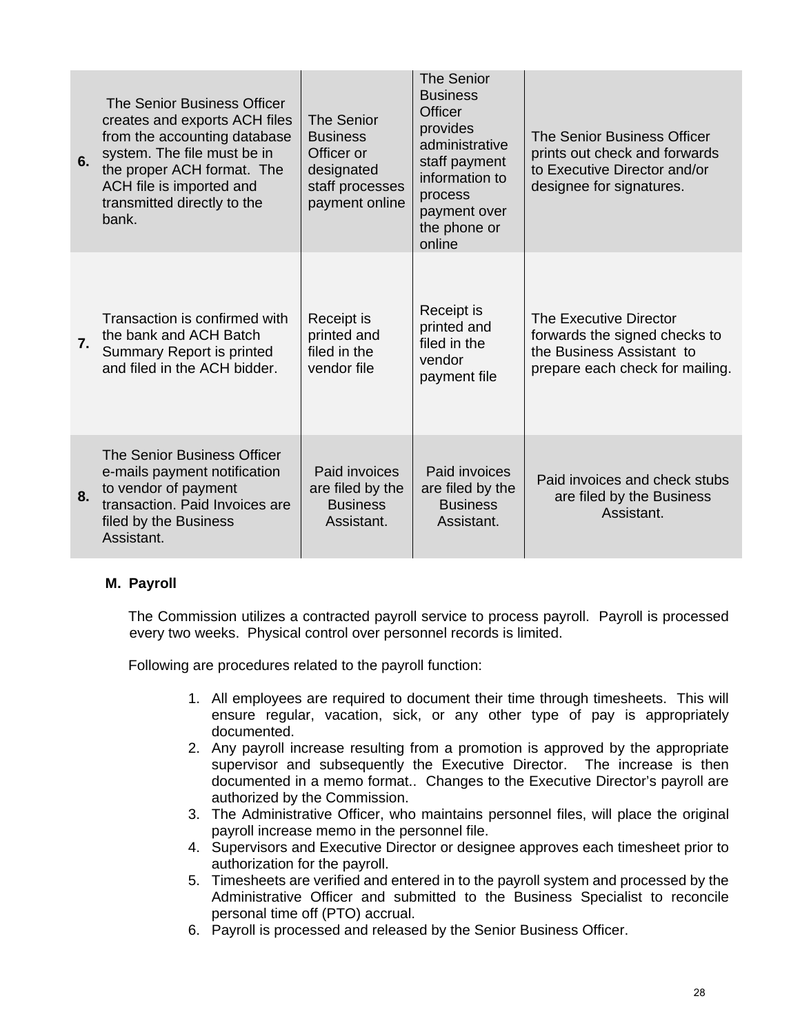| 6. | The Senior Business Officer<br>creates and exports ACH files<br>from the accounting database<br>system. The file must be in<br>the proper ACH format. The<br>ACH file is imported and<br>transmitted directly to the<br>bank. | <b>The Senior</b><br><b>Business</b><br>Officer or<br>designated<br>staff processes<br>payment online | <b>The Senior</b><br><b>Business</b><br><b>Officer</b><br>provides<br>administrative<br>staff payment<br>information to<br>process<br>payment over<br>the phone or<br>online | The Senior Business Officer<br>prints out check and forwards<br>to Executive Director and/or<br>designee for signatures. |
|----|-------------------------------------------------------------------------------------------------------------------------------------------------------------------------------------------------------------------------------|-------------------------------------------------------------------------------------------------------|------------------------------------------------------------------------------------------------------------------------------------------------------------------------------|--------------------------------------------------------------------------------------------------------------------------|
| 7. | Transaction is confirmed with<br>the bank and ACH Batch<br>Summary Report is printed<br>and filed in the ACH bidder.                                                                                                          | Receipt is<br>printed and<br>filed in the<br>vendor file                                              | Receipt is<br>printed and<br>filed in the<br>vendor<br>payment file                                                                                                          | The Executive Director<br>forwards the signed checks to<br>the Business Assistant to<br>prepare each check for mailing.  |
| 8. | The Senior Business Officer<br>e-mails payment notification<br>to vendor of payment<br>transaction. Paid Invoices are<br>filed by the Business<br>Assistant.                                                                  | Paid invoices<br>are filed by the<br><b>Business</b><br>Assistant.                                    | Paid invoices<br>are filed by the<br><b>Business</b><br>Assistant.                                                                                                           | Paid invoices and check stubs<br>are filed by the Business<br>Assistant.                                                 |

# **M. Payroll**

The Commission utilizes a contracted payroll service to process payroll. Payroll is processed every two weeks. Physical control over personnel records is limited.

Following are procedures related to the payroll function:

- 1. All employees are required to document their time through timesheets. This will ensure regular, vacation, sick, or any other type of pay is appropriately documented.
- 2. Any payroll increase resulting from a promotion is approved by the appropriate supervisor and subsequently the Executive Director. The increase is then documented in a memo format.. Changes to the Executive Director's payroll are authorized by the Commission.
- 3. The Administrative Officer, who maintains personnel files, will place the original payroll increase memo in the personnel file.
- 4. Supervisors and Executive Director or designee approves each timesheet prior to authorization for the payroll.
- 5. Timesheets are verified and entered in to the payroll system and processed by the Administrative Officer and submitted to the Business Specialist to reconcile personal time off (PTO) accrual.
- 6. Payroll is processed and released by the Senior Business Officer.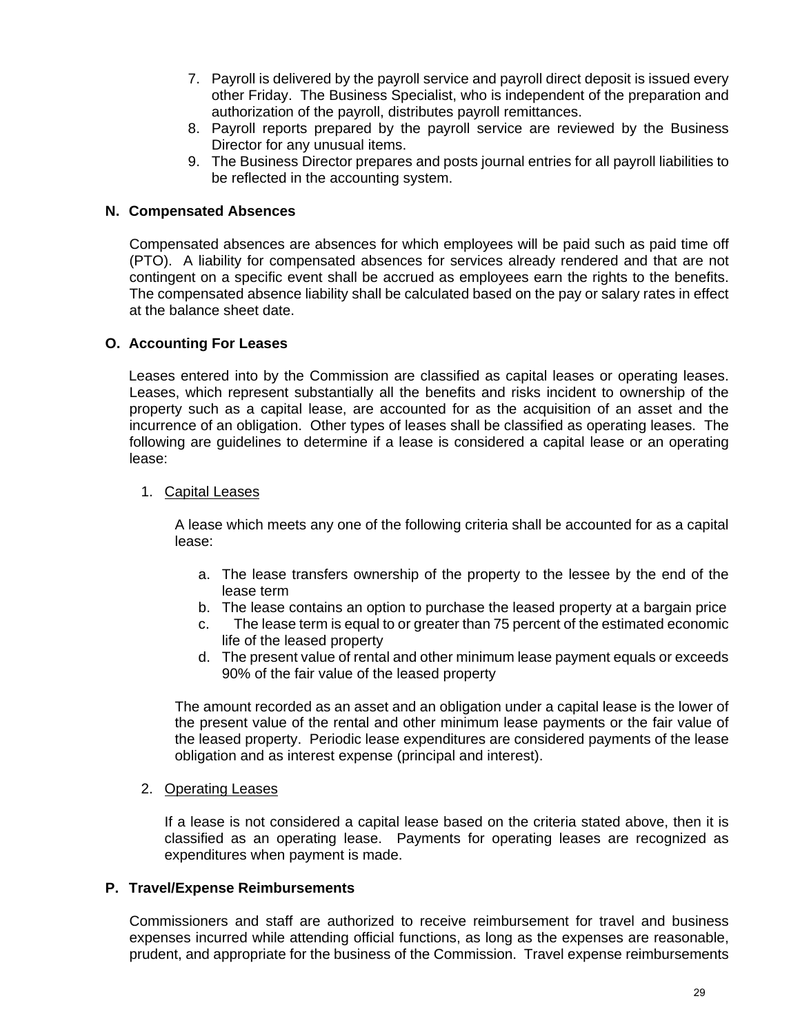- 7. Payroll is delivered by the payroll service and payroll direct deposit is issued every other Friday. The Business Specialist, who is independent of the preparation and authorization of the payroll, distributes payroll remittances.
- 8. Payroll reports prepared by the payroll service are reviewed by the Business Director for any unusual items.
- 9. The Business Director prepares and posts journal entries for all payroll liabilities to be reflected in the accounting system.

## **N. Compensated Absences**

 Compensated absences are absences for which employees will be paid such as paid time off (PTO). A liability for compensated absences for services already rendered and that are not contingent on a specific event shall be accrued as employees earn the rights to the benefits. The compensated absence liability shall be calculated based on the pay or salary rates in effect at the balance sheet date.

#### **O. Accounting For Leases**

Leases entered into by the Commission are classified as capital leases or operating leases. Leases, which represent substantially all the benefits and risks incident to ownership of the property such as a capital lease, are accounted for as the acquisition of an asset and the incurrence of an obligation. Other types of leases shall be classified as operating leases. The following are guidelines to determine if a lease is considered a capital lease or an operating lease:

#### 1. Capital Leases

 A lease which meets any one of the following criteria shall be accounted for as a capital lease:

- a. The lease transfers ownership of the property to the lessee by the end of the lease term
- b. The lease contains an option to purchase the leased property at a bargain price
- c. The lease term is equal to or greater than 75 percent of the estimated economic life of the leased property
- d. The present value of rental and other minimum lease payment equals or exceeds 90% of the fair value of the leased property

 The amount recorded as an asset and an obligation under a capital lease is the lower of the present value of the rental and other minimum lease payments or the fair value of the leased property. Periodic lease expenditures are considered payments of the lease obligation and as interest expense (principal and interest).

#### 2. Operating Leases

 If a lease is not considered a capital lease based on the criteria stated above, then it is classified as an operating lease. Payments for operating leases are recognized as expenditures when payment is made.

#### **P. Travel/Expense Reimbursements**

 Commissioners and staff are authorized to receive reimbursement for travel and business expenses incurred while attending official functions, as long as the expenses are reasonable, prudent, and appropriate for the business of the Commission. Travel expense reimbursements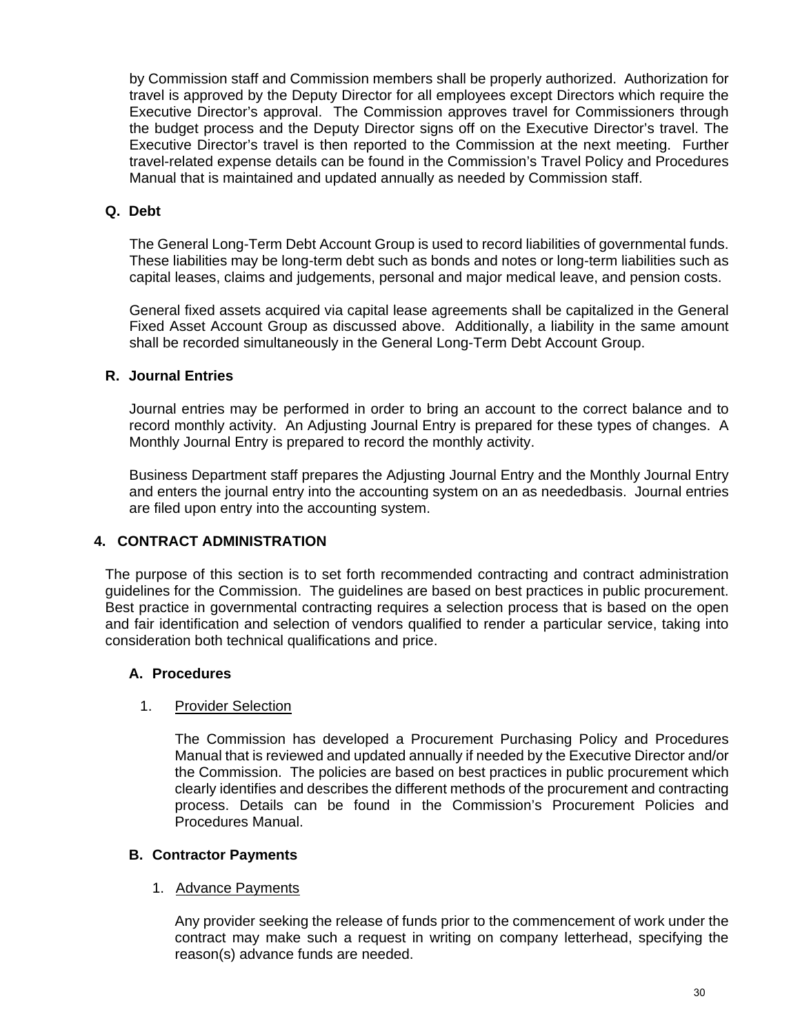by Commission staff and Commission members shall be properly authorized. Authorization for travel is approved by the Deputy Director for all employees except Directors which require the Executive Director's approval. The Commission approves travel for Commissioners through the budget process and the Deputy Director signs off on the Executive Director's travel. The Executive Director's travel is then reported to the Commission at the next meeting. Further travel-related expense details can be found in the Commission's Travel Policy and Procedures Manual that is maintained and updated annually as needed by Commission staff.

# **Q. Debt**

The General Long-Term Debt Account Group is used to record liabilities of governmental funds. These liabilities may be long-term debt such as bonds and notes or long-term liabilities such as capital leases, claims and judgements, personal and major medical leave, and pension costs.

General fixed assets acquired via capital lease agreements shall be capitalized in the General Fixed Asset Account Group as discussed above. Additionally, a liability in the same amount shall be recorded simultaneously in the General Long-Term Debt Account Group.

# **R. Journal Entries**

Journal entries may be performed in order to bring an account to the correct balance and to record monthly activity. An Adjusting Journal Entry is prepared for these types of changes. A Monthly Journal Entry is prepared to record the monthly activity.

Business Department staff prepares the Adjusting Journal Entry and the Monthly Journal Entry and enters the journal entry into the accounting system on an as neededbasis. Journal entries are filed upon entry into the accounting system.

# **4. CONTRACT ADMINISTRATION**

The purpose of this section is to set forth recommended contracting and contract administration guidelines for the Commission. The guidelines are based on best practices in public procurement. Best practice in governmental contracting requires a selection process that is based on the open and fair identification and selection of vendors qualified to render a particular service, taking into consideration both technical qualifications and price.

# **A. Procedures**

# 1. Provider Selection

The Commission has developed a Procurement Purchasing Policy and Procedures Manual that is reviewed and updated annually if needed by the Executive Director and/or the Commission. The policies are based on best practices in public procurement which clearly identifies and describes the different methods of the procurement and contracting process. Details can be found in the Commission's Procurement Policies and Procedures Manual.

# **B. Contractor Payments**

# 1. Advance Payments

Any provider seeking the release of funds prior to the commencement of work under the contract may make such a request in writing on company letterhead, specifying the reason(s) advance funds are needed.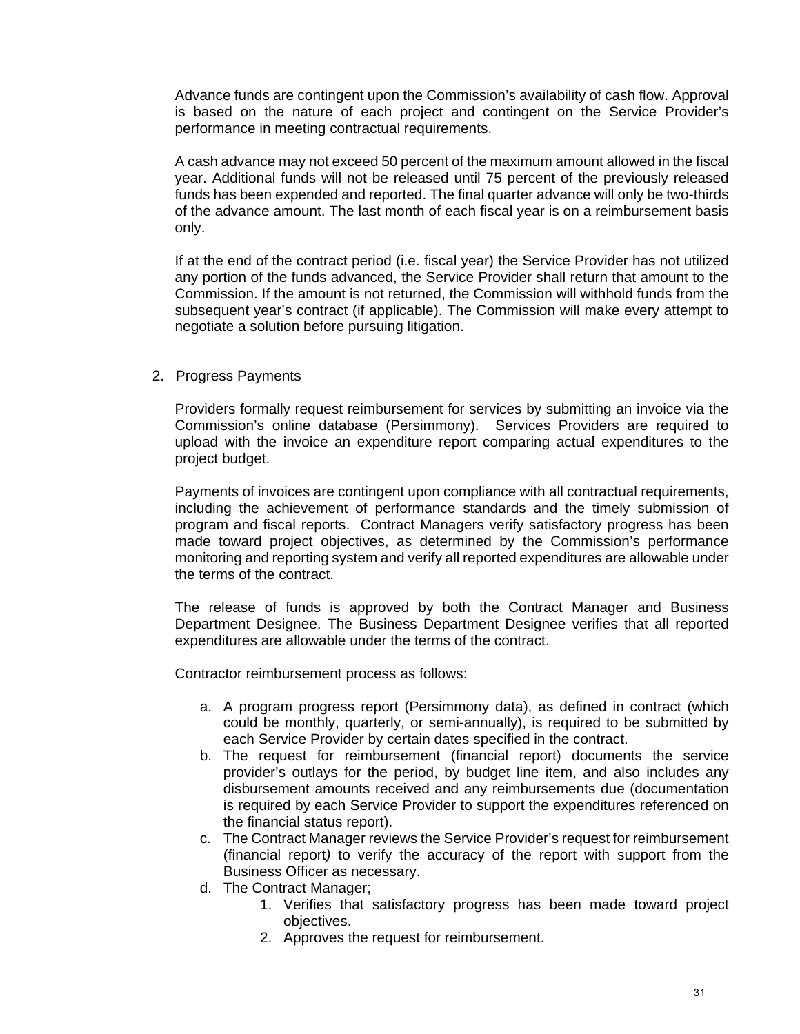Advance funds are contingent upon the Commission's availability of cash flow. Approval is based on the nature of each project and contingent on the Service Provider's performance in meeting contractual requirements.

A cash advance may not exceed 50 percent of the maximum amount allowed in the fiscal year. Additional funds will not be released until 75 percent of the previously released funds has been expended and reported. The final quarter advance will only be two-thirds of the advance amount. The last month of each fiscal year is on a reimbursement basis only.

If at the end of the contract period (i.e. fiscal year) the Service Provider has not utilized any portion of the funds advanced, the Service Provider shall return that amount to the Commission. If the amount is not returned, the Commission will withhold funds from the subsequent year's contract (if applicable). The Commission will make every attempt to negotiate a solution before pursuing litigation.

#### 2. Progress Payments

 Providers formally request reimbursement for services by submitting an invoice via the Commission's online database (Persimmony). Services Providers are required to upload with the invoice an expenditure report comparing actual expenditures to the project budget.

 Payments of invoices are contingent upon compliance with all contractual requirements, including the achievement of performance standards and the timely submission of program and fiscal reports. Contract Managers verify satisfactory progress has been made toward project objectives, as determined by the Commission's performance monitoring and reporting system and verify all reported expenditures are allowable under the terms of the contract.

 The release of funds is approved by both the Contract Manager and Business Department Designee. The Business Department Designee verifies that all reported expenditures are allowable under the terms of the contract.

Contractor reimbursement process as follows:

- a. A program progress report (Persimmony data), as defined in contract (which could be monthly, quarterly, or semi-annually), is required to be submitted by each Service Provider by certain dates specified in the contract.
- b. The request for reimbursement (financial report) documents the service provider's outlays for the period, by budget line item, and also includes any disbursement amounts received and any reimbursements due (documentation is required by each Service Provider to support the expenditures referenced on the financial status report).
- c. The Contract Manager reviews the Service Provider's request for reimbursement (financial report*)* to verify the accuracy of the report with support from the Business Officer as necessary.
- d. The Contract Manager;
	- 1. Verifies that satisfactory progress has been made toward project objectives.
	- 2. Approves the request for reimbursement.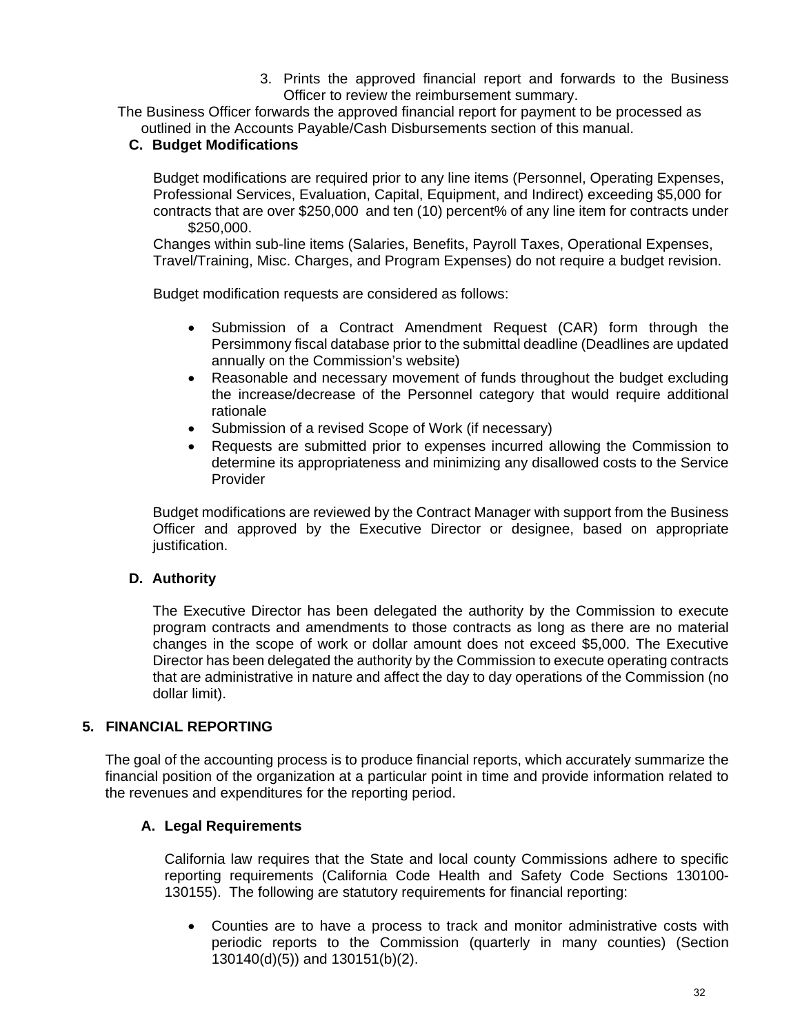3. Prints the approved financial report and forwards to the Business Officer to review the reimbursement summary.

The Business Officer forwards the approved financial report for payment to be processed as outlined in the Accounts Payable/Cash Disbursements section of this manual.

# **C. Budget Modifications**

Budget modifications are required prior to any line items (Personnel, Operating Expenses, Professional Services, Evaluation, Capital, Equipment, and Indirect) exceeding \$5,000 for contracts that are over \$250,000 and ten (10) percent% of any line item for contracts under \$250,000.

Changes within sub-line items (Salaries, Benefits, Payroll Taxes, Operational Expenses, Travel/Training, Misc. Charges, and Program Expenses) do not require a budget revision.

Budget modification requests are considered as follows:

- Submission of a Contract Amendment Request (CAR) form through the Persimmony fiscal database prior to the submittal deadline (Deadlines are updated annually on the Commission's website)
- Reasonable and necessary movement of funds throughout the budget excluding the increase/decrease of the Personnel category that would require additional rationale
- Submission of a revised Scope of Work (if necessary)
- Requests are submitted prior to expenses incurred allowing the Commission to determine its appropriateness and minimizing any disallowed costs to the Service Provider

Budget modifications are reviewed by the Contract Manager with support from the Business Officer and approved by the Executive Director or designee, based on appropriate justification.

# **D. Authority**

 The Executive Director has been delegated the authority by the Commission to execute program contracts and amendments to those contracts as long as there are no material changes in the scope of work or dollar amount does not exceed \$5,000. The Executive Director has been delegated the authority by the Commission to execute operating contracts that are administrative in nature and affect the day to day operations of the Commission (no dollar limit).

# **5. FINANCIAL REPORTING**

The goal of the accounting process is to produce financial reports, which accurately summarize the financial position of the organization at a particular point in time and provide information related to the revenues and expenditures for the reporting period.

# **A. Legal Requirements**

California law requires that the State and local county Commissions adhere to specific reporting requirements (California Code Health and Safety Code Sections 130100- 130155). The following are statutory requirements for financial reporting:

 Counties are to have a process to track and monitor administrative costs with periodic reports to the Commission (quarterly in many counties) (Section 130140(d)(5)) and 130151(b)(2).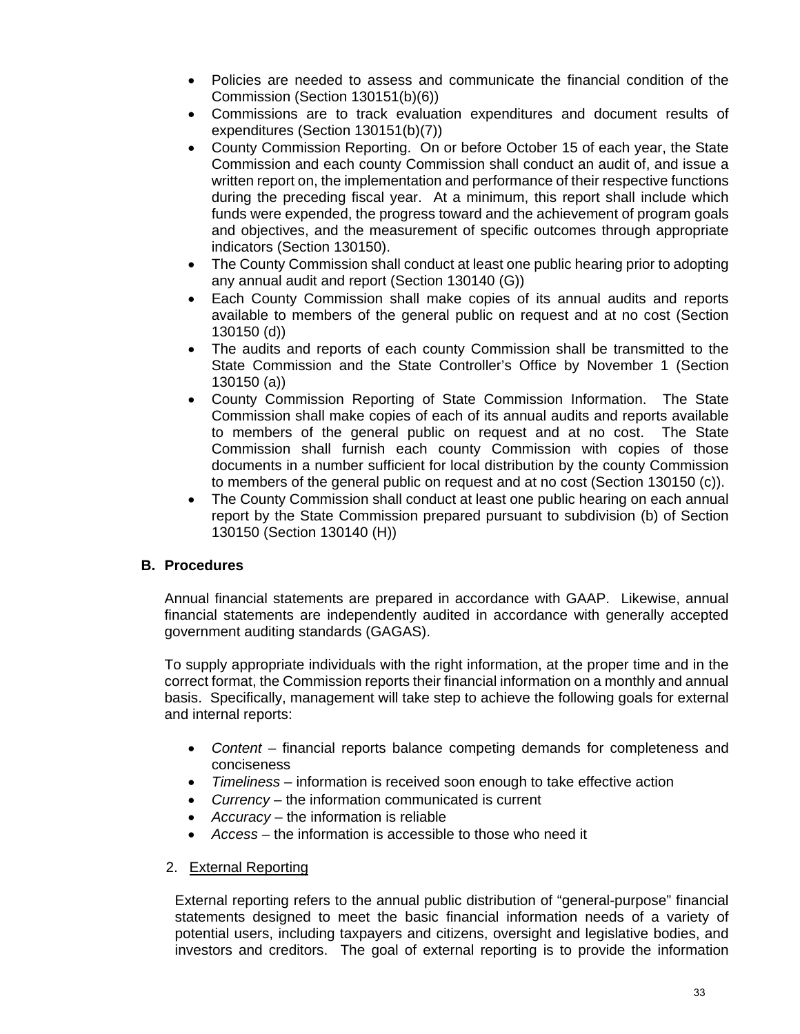- Policies are needed to assess and communicate the financial condition of the Commission (Section 130151(b)(6))
- Commissions are to track evaluation expenditures and document results of expenditures (Section 130151(b)(7))
- County Commission Reporting. On or before October 15 of each year, the State Commission and each county Commission shall conduct an audit of, and issue a written report on, the implementation and performance of their respective functions during the preceding fiscal year. At a minimum, this report shall include which funds were expended, the progress toward and the achievement of program goals and objectives, and the measurement of specific outcomes through appropriate indicators (Section 130150).
- The County Commission shall conduct at least one public hearing prior to adopting any annual audit and report (Section 130140 (G))
- Each County Commission shall make copies of its annual audits and reports available to members of the general public on request and at no cost (Section 130150 (d))
- The audits and reports of each county Commission shall be transmitted to the State Commission and the State Controller's Office by November 1 (Section 130150 (a))
- County Commission Reporting of State Commission Information. The State Commission shall make copies of each of its annual audits and reports available to members of the general public on request and at no cost. The State Commission shall furnish each county Commission with copies of those documents in a number sufficient for local distribution by the county Commission to members of the general public on request and at no cost (Section 130150 (c)).
- The County Commission shall conduct at least one public hearing on each annual report by the State Commission prepared pursuant to subdivision (b) of Section 130150 (Section 130140 (H))

# **B. Procedures**

Annual financial statements are prepared in accordance with GAAP. Likewise, annual financial statements are independently audited in accordance with generally accepted government auditing standards (GAGAS).

To supply appropriate individuals with the right information, at the proper time and in the correct format, the Commission reports their financial information on a monthly and annual basis. Specifically, management will take step to achieve the following goals for external and internal reports:

- Content financial reports balance competing demands for completeness and conciseness
- *Timeliness* information is received soon enough to take effective action
- *Currency* the information communicated is current
- *Accuracy*  the information is reliable
- *Access* the information is accessible to those who need it

# 2. External Reporting

External reporting refers to the annual public distribution of "general-purpose" financial statements designed to meet the basic financial information needs of a variety of potential users, including taxpayers and citizens, oversight and legislative bodies, and investors and creditors. The goal of external reporting is to provide the information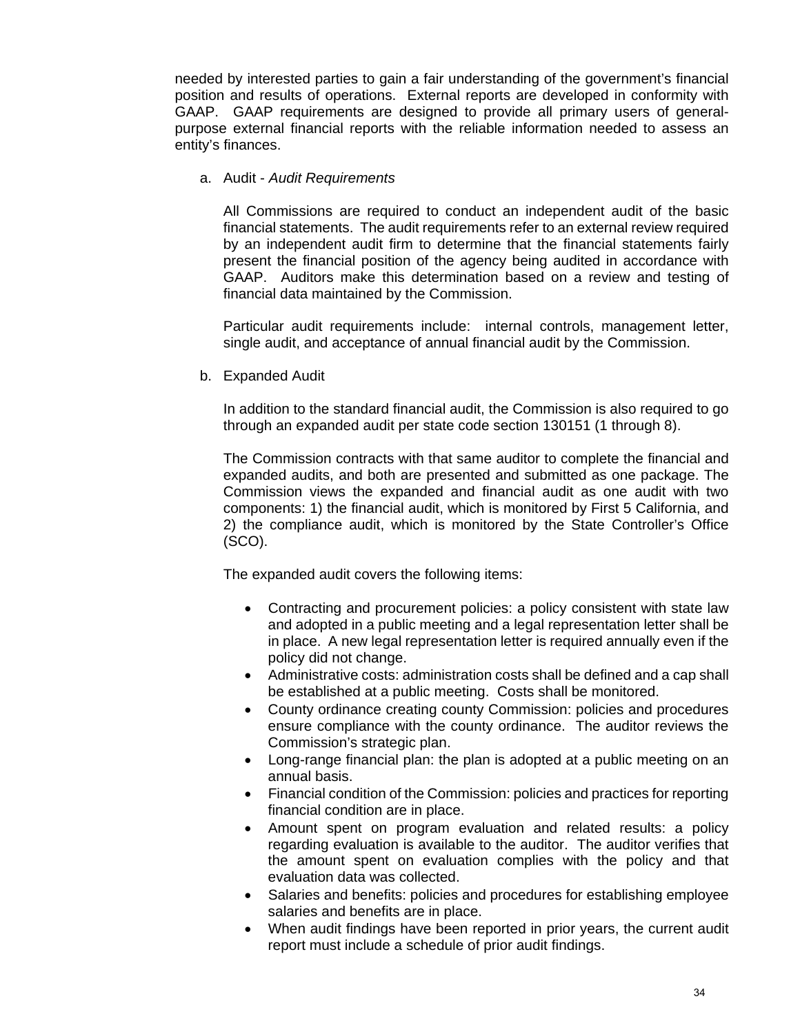needed by interested parties to gain a fair understanding of the government's financial position and results of operations. External reports are developed in conformity with GAAP. GAAP requirements are designed to provide all primary users of generalpurpose external financial reports with the reliable information needed to assess an entity's finances.

a. Audit - *Audit Requirements* 

All Commissions are required to conduct an independent audit of the basic financial statements. The audit requirements refer to an external review required by an independent audit firm to determine that the financial statements fairly present the financial position of the agency being audited in accordance with GAAP. Auditors make this determination based on a review and testing of financial data maintained by the Commission.

Particular audit requirements include: internal controls, management letter, single audit, and acceptance of annual financial audit by the Commission.

b. Expanded Audit

In addition to the standard financial audit, the Commission is also required to go through an expanded audit per state code section 130151 (1 through 8).

The Commission contracts with that same auditor to complete the financial and expanded audits, and both are presented and submitted as one package. The Commission views the expanded and financial audit as one audit with two components: 1) the financial audit, which is monitored by First 5 California, and 2) the compliance audit, which is monitored by the State Controller's Office (SCO).

The expanded audit covers the following items:

- Contracting and procurement policies: a policy consistent with state law and adopted in a public meeting and a legal representation letter shall be in place. A new legal representation letter is required annually even if the policy did not change.
- Administrative costs: administration costs shall be defined and a cap shall be established at a public meeting. Costs shall be monitored.
- County ordinance creating county Commission: policies and procedures ensure compliance with the county ordinance. The auditor reviews the Commission's strategic plan.
- Long-range financial plan: the plan is adopted at a public meeting on an annual basis.
- Financial condition of the Commission: policies and practices for reporting financial condition are in place.
- Amount spent on program evaluation and related results: a policy regarding evaluation is available to the auditor. The auditor verifies that the amount spent on evaluation complies with the policy and that evaluation data was collected.
- Salaries and benefits: policies and procedures for establishing employee salaries and benefits are in place.
- When audit findings have been reported in prior years, the current audit report must include a schedule of prior audit findings.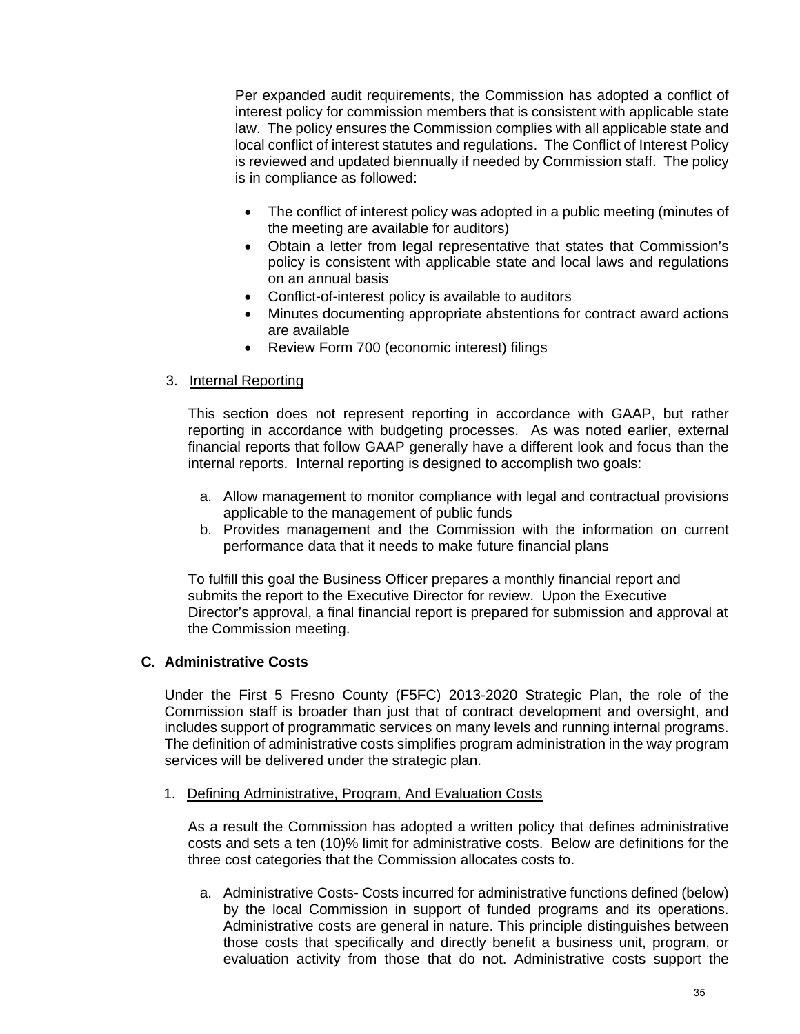Per expanded audit requirements, the Commission has adopted a conflict of interest policy for commission members that is consistent with applicable state law. The policy ensures the Commission complies with all applicable state and local conflict of interest statutes and regulations. The Conflict of Interest Policy is reviewed and updated biennually if needed by Commission staff. The policy is in compliance as followed:

- The conflict of interest policy was adopted in a public meeting (minutes of the meeting are available for auditors)
- Obtain a letter from legal representative that states that Commission's policy is consistent with applicable state and local laws and regulations on an annual basis
- Conflict-of-interest policy is available to auditors
- Minutes documenting appropriate abstentions for contract award actions are available
- Review Form 700 (economic interest) filings

# 3. Internal Reporting

This section does not represent reporting in accordance with GAAP, but rather reporting in accordance with budgeting processes. As was noted earlier, external financial reports that follow GAAP generally have a different look and focus than the internal reports. Internal reporting is designed to accomplish two goals:

- a. Allow management to monitor compliance with legal and contractual provisions applicable to the management of public funds
- b. Provides management and the Commission with the information on current performance data that it needs to make future financial plans

To fulfill this goal the Business Officer prepares a monthly financial report and submits the report to the Executive Director for review. Upon the Executive Director's approval, a final financial report is prepared for submission and approval at the Commission meeting.

# **C. Administrative Costs**

Under the First 5 Fresno County (F5FC) 2013-2020 Strategic Plan, the role of the Commission staff is broader than just that of contract development and oversight, and includes support of programmatic services on many levels and running internal programs. The definition of administrative costs simplifies program administration in the way program services will be delivered under the strategic plan.

1. Defining Administrative, Program, And Evaluation Costs

As a result the Commission has adopted a written policy that defines administrative costs and sets a ten (10)% limit for administrative costs. Below are definitions for the three cost categories that the Commission allocates costs to.

a. Administrative Costs- Costs incurred for administrative functions defined (below) by the local Commission in support of funded programs and its operations. Administrative costs are general in nature. This principle distinguishes between those costs that specifically and directly benefit a business unit, program, or evaluation activity from those that do not. Administrative costs support the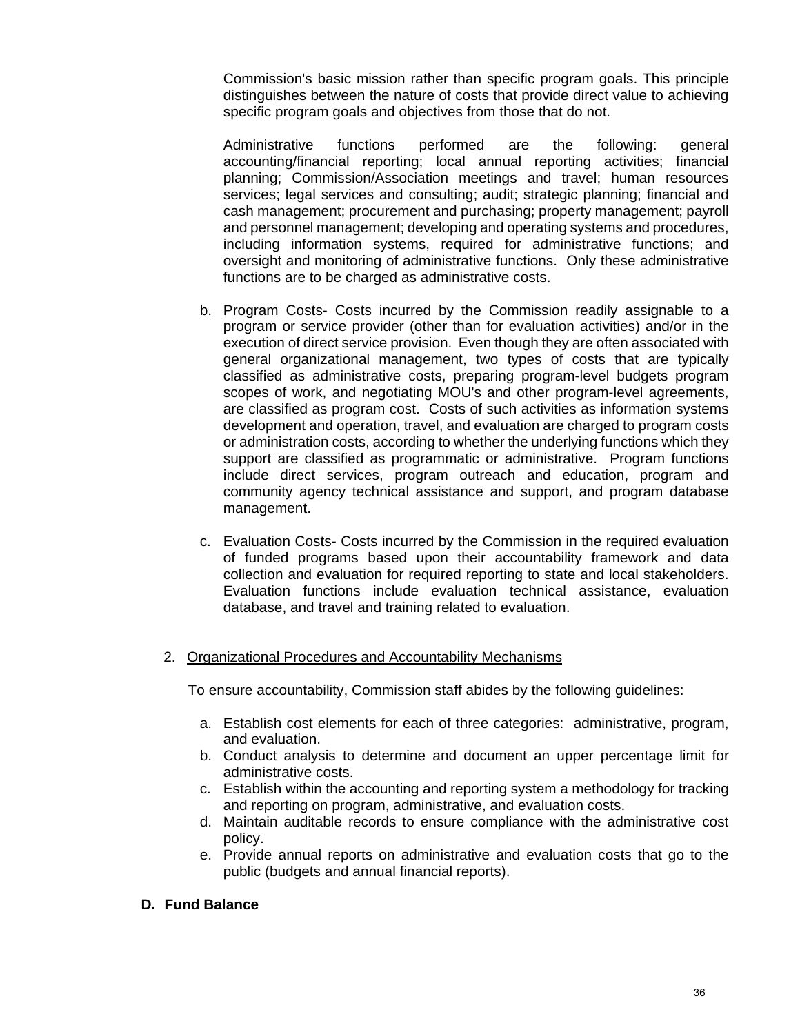Commission's basic mission rather than specific program goals. This principle distinguishes between the nature of costs that provide direct value to achieving specific program goals and objectives from those that do not.

Administrative functions performed are the following: general accounting/financial reporting; local annual reporting activities; financial planning; Commission/Association meetings and travel; human resources services; legal services and consulting; audit; strategic planning; financial and cash management; procurement and purchasing; property management; payroll and personnel management; developing and operating systems and procedures, including information systems, required for administrative functions; and oversight and monitoring of administrative functions. Only these administrative functions are to be charged as administrative costs.

- b. Program Costs- Costs incurred by the Commission readily assignable to a program or service provider (other than for evaluation activities) and/or in the execution of direct service provision. Even though they are often associated with general organizational management, two types of costs that are typically classified as administrative costs, preparing program-level budgets program scopes of work, and negotiating MOU's and other program-level agreements, are classified as program cost. Costs of such activities as information systems development and operation, travel, and evaluation are charged to program costs or administration costs, according to whether the underlying functions which they support are classified as programmatic or administrative. Program functions include direct services, program outreach and education, program and community agency technical assistance and support, and program database management.
- c. Evaluation Costs- Costs incurred by the Commission in the required evaluation of funded programs based upon their accountability framework and data collection and evaluation for required reporting to state and local stakeholders. Evaluation functions include evaluation technical assistance, evaluation database, and travel and training related to evaluation.

#### 2. Organizational Procedures and Accountability Mechanisms

To ensure accountability, Commission staff abides by the following guidelines:

- a. Establish cost elements for each of three categories: administrative, program, and evaluation.
- b. Conduct analysis to determine and document an upper percentage limit for administrative costs.
- c. Establish within the accounting and reporting system a methodology for tracking and reporting on program, administrative, and evaluation costs.
- d. Maintain auditable records to ensure compliance with the administrative cost policy.
- e. Provide annual reports on administrative and evaluation costs that go to the public (budgets and annual financial reports).

## **D. Fund Balance**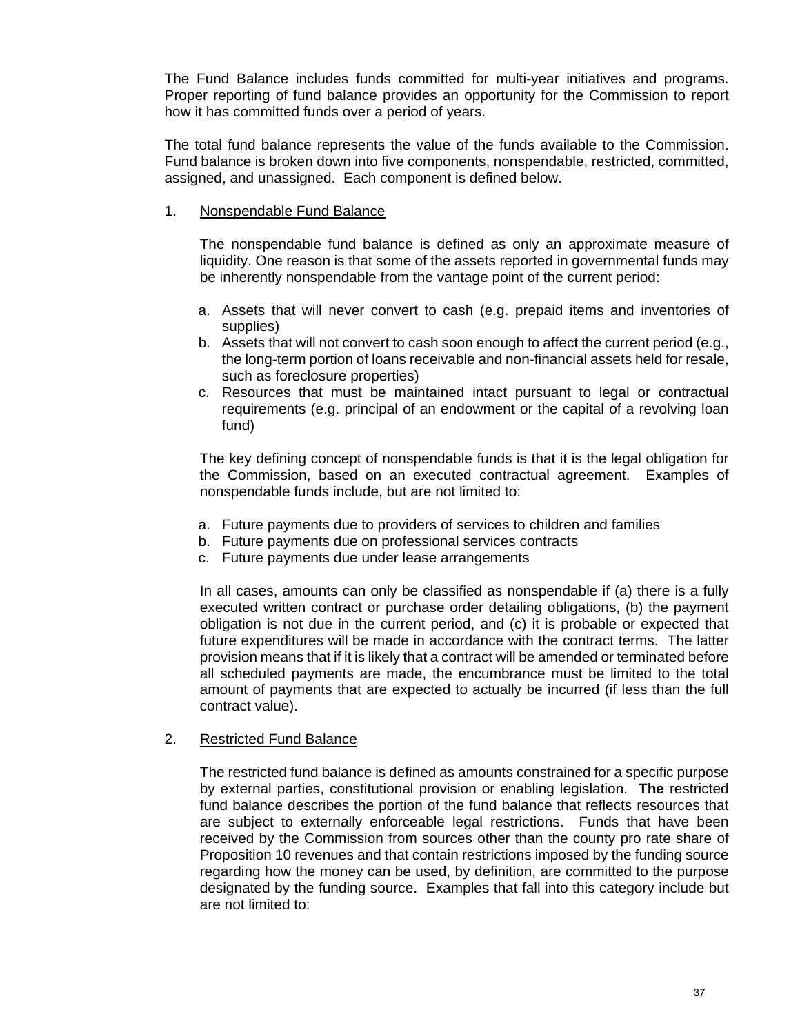The Fund Balance includes funds committed for multi-year initiatives and programs. Proper reporting of fund balance provides an opportunity for the Commission to report how it has committed funds over a period of years.

The total fund balance represents the value of the funds available to the Commission. Fund balance is broken down into five components, nonspendable, restricted, committed, assigned, and unassigned. Each component is defined below.

1. Nonspendable Fund Balance

The nonspendable fund balance is defined as only an approximate measure of liquidity. One reason is that some of the assets reported in governmental funds may be inherently nonspendable from the vantage point of the current period:

- a. Assets that will never convert to cash (e.g. prepaid items and inventories of supplies)
- b. Assets that will not convert to cash soon enough to affect the current period (e.g., the long-term portion of loans receivable and non-financial assets held for resale, such as foreclosure properties)
- c. Resources that must be maintained intact pursuant to legal or contractual requirements (e.g. principal of an endowment or the capital of a revolving loan fund)

The key defining concept of nonspendable funds is that it is the legal obligation for the Commission, based on an executed contractual agreement. Examples of nonspendable funds include, but are not limited to:

- a. Future payments due to providers of services to children and families
- b. Future payments due on professional services contracts
- c. Future payments due under lease arrangements

In all cases, amounts can only be classified as nonspendable if (a) there is a fully executed written contract or purchase order detailing obligations, (b) the payment obligation is not due in the current period, and (c) it is probable or expected that future expenditures will be made in accordance with the contract terms. The latter provision means that if it is likely that a contract will be amended or terminated before all scheduled payments are made, the encumbrance must be limited to the total amount of payments that are expected to actually be incurred (if less than the full contract value).

#### 2. Restricted Fund Balance

The restricted fund balance is defined as amounts constrained for a specific purpose by external parties, constitutional provision or enabling legislation. **The** restricted fund balance describes the portion of the fund balance that reflects resources that are subject to externally enforceable legal restrictions. Funds that have been received by the Commission from sources other than the county pro rate share of Proposition 10 revenues and that contain restrictions imposed by the funding source regarding how the money can be used, by definition, are committed to the purpose designated by the funding source. Examples that fall into this category include but are not limited to: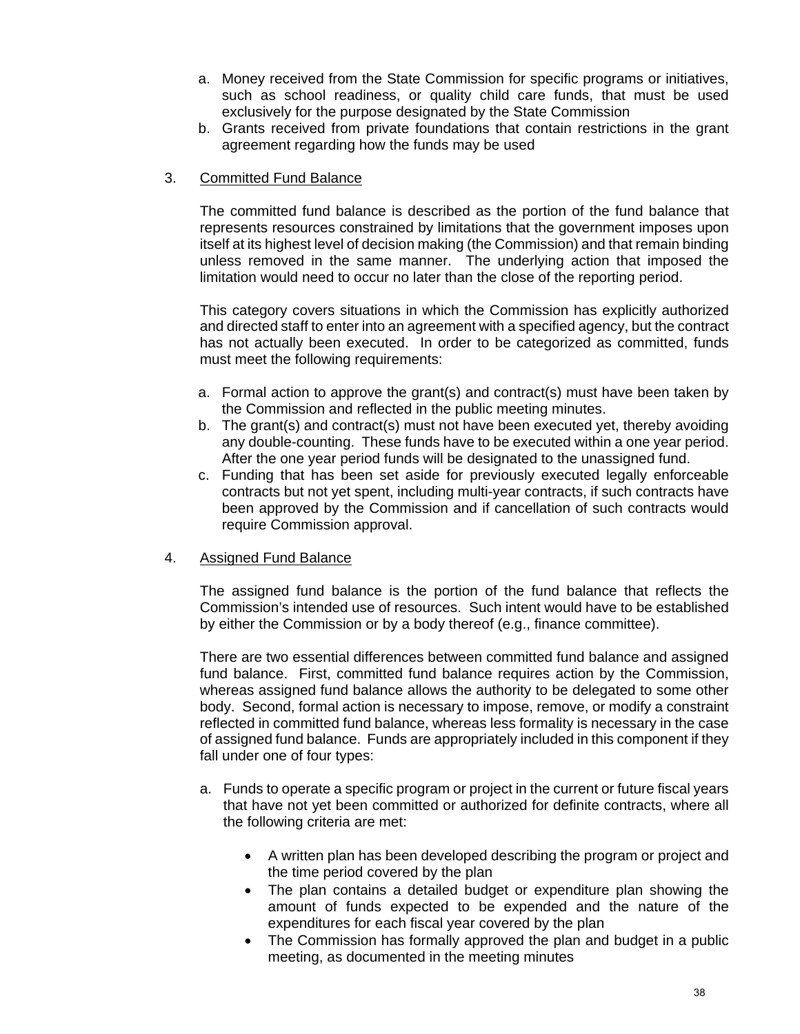- a. Money received from the State Commission for specific programs or initiatives, such as school readiness, or quality child care funds, that must be used exclusively for the purpose designated by the State Commission
- b. Grants received from private foundations that contain restrictions in the grant agreement regarding how the funds may be used

#### 3. Committed Fund Balance

The committed fund balance is described as the portion of the fund balance that represents resources constrained by limitations that the government imposes upon itself at its highest level of decision making (the Commission) and that remain binding unless removed in the same manner. The underlying action that imposed the limitation would need to occur no later than the close of the reporting period.

This category covers situations in which the Commission has explicitly authorized and directed staff to enter into an agreement with a specified agency, but the contract has not actually been executed. In order to be categorized as committed, funds must meet the following requirements:

- a. Formal action to approve the grant(s) and contract(s) must have been taken by the Commission and reflected in the public meeting minutes.
- b. The grant(s) and contract(s) must not have been executed yet, thereby avoiding any double-counting. These funds have to be executed within a one year period. After the one year period funds will be designated to the unassigned fund.
- c. Funding that has been set aside for previously executed legally enforceable contracts but not yet spent, including multi-year contracts, if such contracts have been approved by the Commission and if cancellation of such contracts would require Commission approval.

#### 4. Assigned Fund Balance

The assigned fund balance is the portion of the fund balance that reflects the Commission's intended use of resources. Such intent would have to be established by either the Commission or by a body thereof (e.g., finance committee).

There are two essential differences between committed fund balance and assigned fund balance. First, committed fund balance requires action by the Commission, whereas assigned fund balance allows the authority to be delegated to some other body. Second, formal action is necessary to impose, remove, or modify a constraint reflected in committed fund balance, whereas less formality is necessary in the case of assigned fund balance. Funds are appropriately included in this component if they fall under one of four types:

- a. Funds to operate a specific program or project in the current or future fiscal years that have not yet been committed or authorized for definite contracts, where all the following criteria are met:
	- A written plan has been developed describing the program or project and the time period covered by the plan
	- The plan contains a detailed budget or expenditure plan showing the amount of funds expected to be expended and the nature of the expenditures for each fiscal year covered by the plan
	- The Commission has formally approved the plan and budget in a public meeting, as documented in the meeting minutes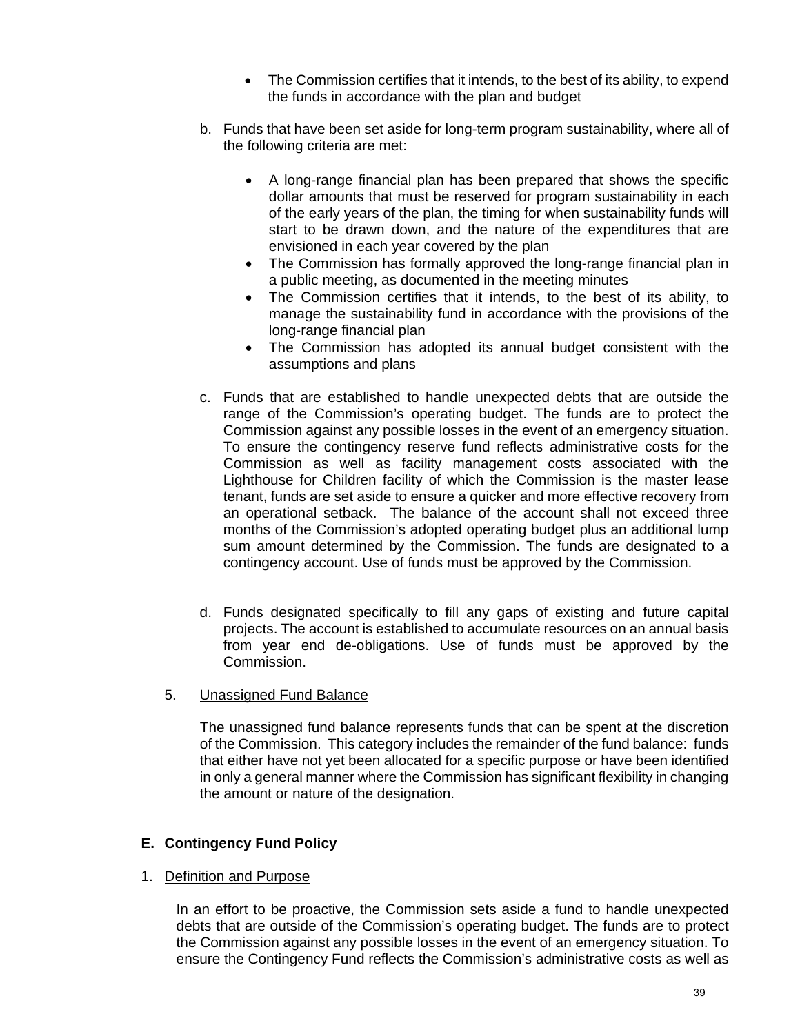- The Commission certifies that it intends, to the best of its ability, to expend the funds in accordance with the plan and budget
- b. Funds that have been set aside for long-term program sustainability, where all of the following criteria are met:
	- A long-range financial plan has been prepared that shows the specific dollar amounts that must be reserved for program sustainability in each of the early years of the plan, the timing for when sustainability funds will start to be drawn down, and the nature of the expenditures that are envisioned in each year covered by the plan
	- The Commission has formally approved the long-range financial plan in a public meeting, as documented in the meeting minutes
	- The Commission certifies that it intends, to the best of its ability, to manage the sustainability fund in accordance with the provisions of the long-range financial plan
	- The Commission has adopted its annual budget consistent with the assumptions and plans
- c. Funds that are established to handle unexpected debts that are outside the range of the Commission's operating budget. The funds are to protect the Commission against any possible losses in the event of an emergency situation. To ensure the contingency reserve fund reflects administrative costs for the Commission as well as facility management costs associated with the Lighthouse for Children facility of which the Commission is the master lease tenant, funds are set aside to ensure a quicker and more effective recovery from an operational setback. The balance of the account shall not exceed three months of the Commission's adopted operating budget plus an additional lump sum amount determined by the Commission. The funds are designated to a contingency account. Use of funds must be approved by the Commission.
- d. Funds designated specifically to fill any gaps of existing and future capital projects. The account is established to accumulate resources on an annual basis from year end de-obligations. Use of funds must be approved by the Commission.
- 5. Unassigned Fund Balance

The unassigned fund balance represents funds that can be spent at the discretion of the Commission. This category includes the remainder of the fund balance: funds that either have not yet been allocated for a specific purpose or have been identified in only a general manner where the Commission has significant flexibility in changing the amount or nature of the designation.

# **E. Contingency Fund Policy**

#### 1. Definition and Purpose

In an effort to be proactive, the Commission sets aside a fund to handle unexpected debts that are outside of the Commission's operating budget. The funds are to protect the Commission against any possible losses in the event of an emergency situation. To ensure the Contingency Fund reflects the Commission's administrative costs as well as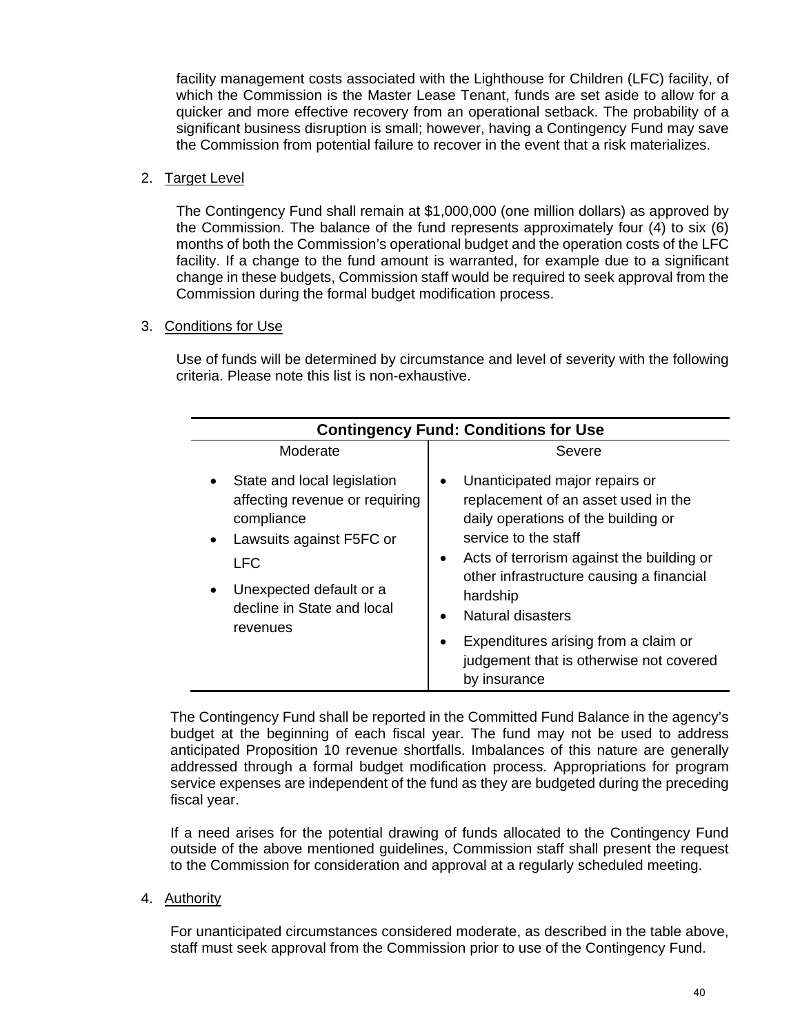facility management costs associated with the Lighthouse for Children (LFC) facility, of which the Commission is the Master Lease Tenant, funds are set aside to allow for a quicker and more effective recovery from an operational setback. The probability of a significant business disruption is small; however, having a Contingency Fund may save the Commission from potential failure to recover in the event that a risk materializes.

# 2. Target Level

The Contingency Fund shall remain at \$1,000,000 (one million dollars) as approved by the Commission. The balance of the fund represents approximately four (4) to six (6) months of both the Commission's operational budget and the operation costs of the LFC facility. If a change to the fund amount is warranted, for example due to a significant change in these budgets, Commission staff would be required to seek approval from the Commission during the formal budget modification process.

# 3. Conditions for Use

Use of funds will be determined by circumstance and level of severity with the following criteria. Please note this list is non-exhaustive.

| <b>Contingency Fund: Conditions for Use</b>                                                                                                                                                |                                                                                                                                                                                                                                                                                                                                                                          |  |  |
|--------------------------------------------------------------------------------------------------------------------------------------------------------------------------------------------|--------------------------------------------------------------------------------------------------------------------------------------------------------------------------------------------------------------------------------------------------------------------------------------------------------------------------------------------------------------------------|--|--|
| Moderate                                                                                                                                                                                   | Severe                                                                                                                                                                                                                                                                                                                                                                   |  |  |
| State and local legislation<br>affecting revenue or requiring<br>compliance<br>Lawsuits against F5FC or<br><b>LFC</b><br>Unexpected default or a<br>decline in State and local<br>revenues | Unanticipated major repairs or<br>replacement of an asset used in the<br>daily operations of the building or<br>service to the staff<br>Acts of terrorism against the building or<br>other infrastructure causing a financial<br>hardship<br><b>Natural disasters</b><br>Expenditures arising from a claim or<br>judgement that is otherwise not covered<br>by insurance |  |  |

The Contingency Fund shall be reported in the Committed Fund Balance in the agency's budget at the beginning of each fiscal year. The fund may not be used to address anticipated Proposition 10 revenue shortfalls. Imbalances of this nature are generally addressed through a formal budget modification process. Appropriations for program service expenses are independent of the fund as they are budgeted during the preceding fiscal year.

If a need arises for the potential drawing of funds allocated to the Contingency Fund outside of the above mentioned guidelines, Commission staff shall present the request to the Commission for consideration and approval at a regularly scheduled meeting.

# 4. Authority

 For unanticipated circumstances considered moderate, as described in the table above, staff must seek approval from the Commission prior to use of the Contingency Fund.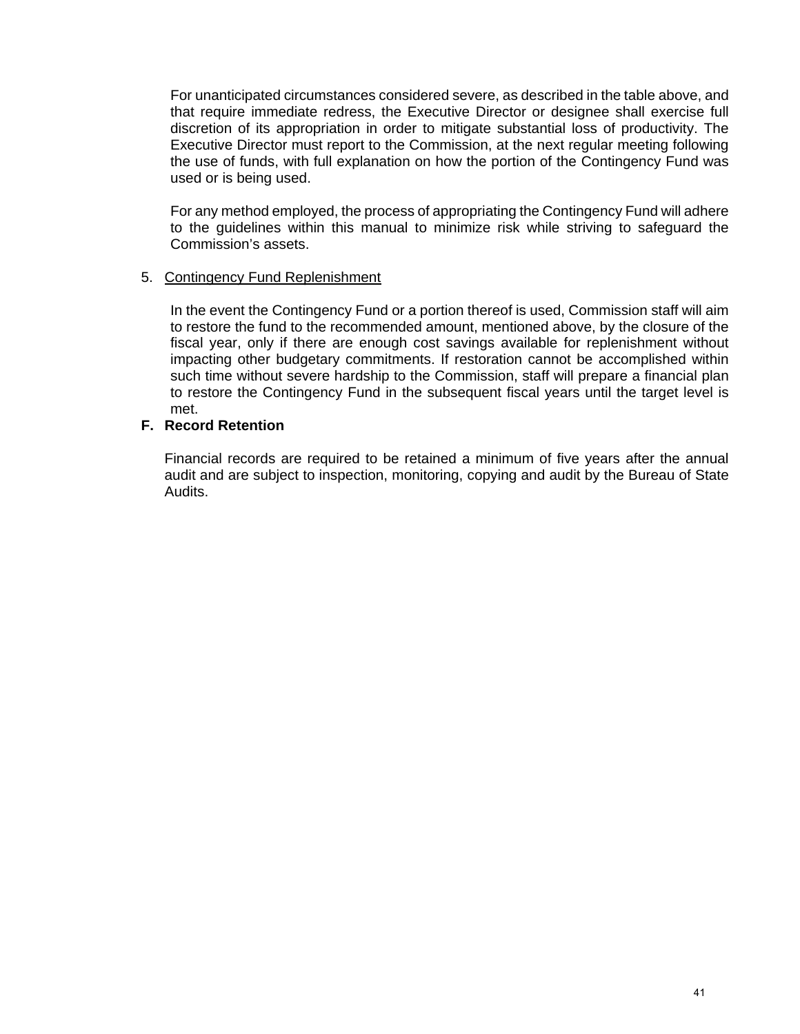For unanticipated circumstances considered severe, as described in the table above, and that require immediate redress, the Executive Director or designee shall exercise full discretion of its appropriation in order to mitigate substantial loss of productivity. The Executive Director must report to the Commission, at the next regular meeting following the use of funds, with full explanation on how the portion of the Contingency Fund was used or is being used.

 For any method employed, the process of appropriating the Contingency Fund will adhere to the guidelines within this manual to minimize risk while striving to safeguard the Commission's assets.

#### 5. Contingency Fund Replenishment

 In the event the Contingency Fund or a portion thereof is used, Commission staff will aim to restore the fund to the recommended amount, mentioned above, by the closure of the fiscal year, only if there are enough cost savings available for replenishment without impacting other budgetary commitments. If restoration cannot be accomplished within such time without severe hardship to the Commission, staff will prepare a financial plan to restore the Contingency Fund in the subsequent fiscal years until the target level is met.

## **F. Record Retention**

Financial records are required to be retained a minimum of five years after the annual audit and are subject to inspection, monitoring, copying and audit by the Bureau of State Audits.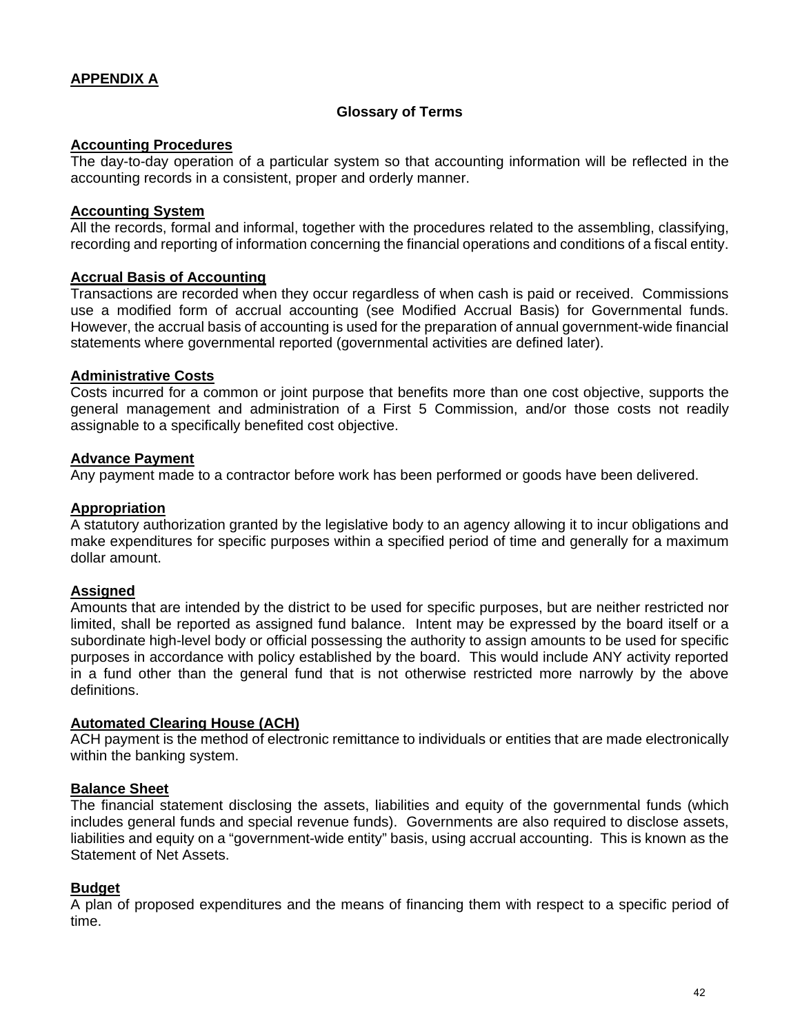# **APPENDIX A**

#### **Glossary of Terms**

## **Accounting Procedures**

The day-to-day operation of a particular system so that accounting information will be reflected in the accounting records in a consistent, proper and orderly manner.

#### **Accounting System**

All the records, formal and informal, together with the procedures related to the assembling, classifying, recording and reporting of information concerning the financial operations and conditions of a fiscal entity.

#### **Accrual Basis of Accounting**

Transactions are recorded when they occur regardless of when cash is paid or received. Commissions use a modified form of accrual accounting (see Modified Accrual Basis) for Governmental funds. However, the accrual basis of accounting is used for the preparation of annual government-wide financial statements where governmental reported (governmental activities are defined later).

#### **Administrative Costs**

Costs incurred for a common or joint purpose that benefits more than one cost objective, supports the general management and administration of a First 5 Commission, and/or those costs not readily assignable to a specifically benefited cost objective.

#### **Advance Payment**

Any payment made to a contractor before work has been performed or goods have been delivered.

#### **Appropriation**

A statutory authorization granted by the legislative body to an agency allowing it to incur obligations and make expenditures for specific purposes within a specified period of time and generally for a maximum dollar amount.

#### **Assigned**

Amounts that are intended by the district to be used for specific purposes, but are neither restricted nor limited, shall be reported as assigned fund balance. Intent may be expressed by the board itself or a subordinate high-level body or official possessing the authority to assign amounts to be used for specific purposes in accordance with policy established by the board. This would include ANY activity reported in a fund other than the general fund that is not otherwise restricted more narrowly by the above definitions.

#### **Automated Clearing House (ACH)**

ACH payment is the method of electronic remittance to individuals or entities that are made electronically within the banking system.

#### **Balance Sheet**

The financial statement disclosing the assets, liabilities and equity of the governmental funds (which includes general funds and special revenue funds). Governments are also required to disclose assets, liabilities and equity on a "government-wide entity" basis, using accrual accounting. This is known as the Statement of Net Assets.

#### **Budget**

A plan of proposed expenditures and the means of financing them with respect to a specific period of time.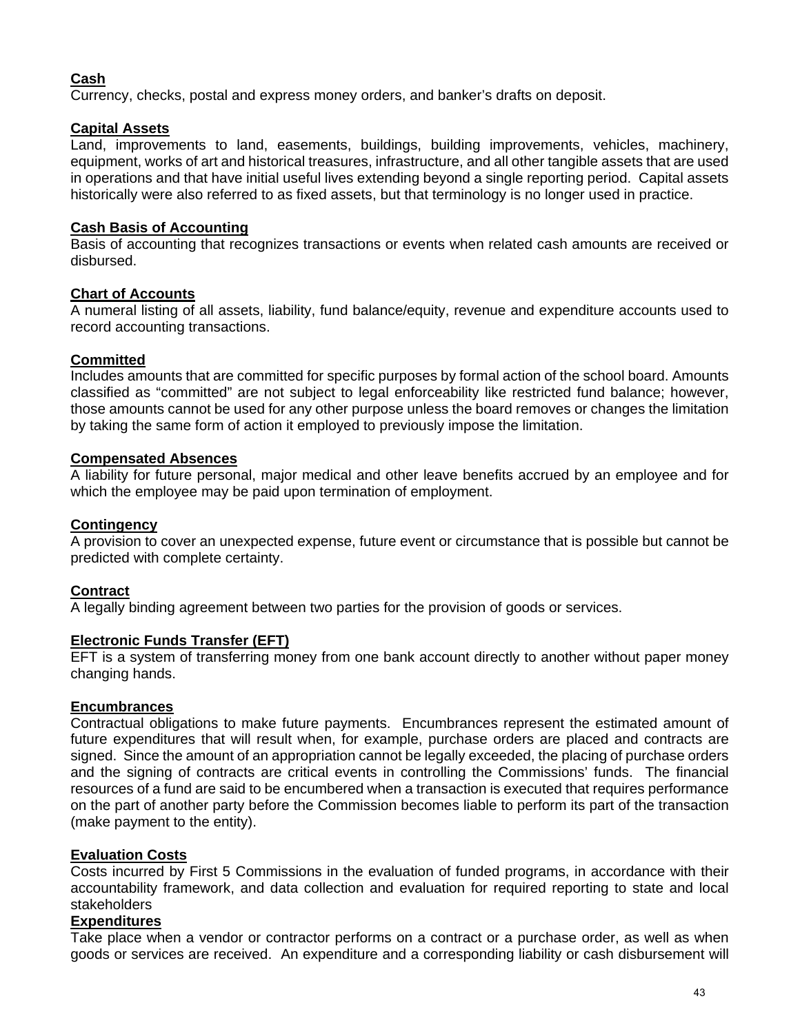# **Cash**

Currency, checks, postal and express money orders, and banker's drafts on deposit.

# **Capital Assets**

Land, improvements to land, easements, buildings, building improvements, vehicles, machinery, equipment, works of art and historical treasures, infrastructure, and all other tangible assets that are used in operations and that have initial useful lives extending beyond a single reporting period. Capital assets historically were also referred to as fixed assets, but that terminology is no longer used in practice.

#### **Cash Basis of Accounting**

Basis of accounting that recognizes transactions or events when related cash amounts are received or disbursed.

# **Chart of Accounts**

A numeral listing of all assets, liability, fund balance/equity, revenue and expenditure accounts used to record accounting transactions.

#### **Committed**

Includes amounts that are committed for specific purposes by formal action of the school board. Amounts classified as "committed" are not subject to legal enforceability like restricted fund balance; however, those amounts cannot be used for any other purpose unless the board removes or changes the limitation by taking the same form of action it employed to previously impose the limitation.

# **Compensated Absences**

A liability for future personal, major medical and other leave benefits accrued by an employee and for which the employee may be paid upon termination of employment.

## **Contingency**

A provision to cover an unexpected expense, future event or circumstance that is possible but cannot be predicted with complete certainty.

# **Contract**

A legally binding agreement between two parties for the provision of goods or services.

# **Electronic Funds Transfer (EFT)**

EFT is a system of transferring money from one bank account directly to another without paper money changing hands.

#### **Encumbrances**

Contractual obligations to make future payments. Encumbrances represent the estimated amount of future expenditures that will result when, for example, purchase orders are placed and contracts are signed. Since the amount of an appropriation cannot be legally exceeded, the placing of purchase orders and the signing of contracts are critical events in controlling the Commissions' funds. The financial resources of a fund are said to be encumbered when a transaction is executed that requires performance on the part of another party before the Commission becomes liable to perform its part of the transaction (make payment to the entity).

#### **Evaluation Costs**

Costs incurred by First 5 Commissions in the evaluation of funded programs, in accordance with their accountability framework, and data collection and evaluation for required reporting to state and local stakeholders

#### **Expenditures**

Take place when a vendor or contractor performs on a contract or a purchase order, as well as when goods or services are received. An expenditure and a corresponding liability or cash disbursement will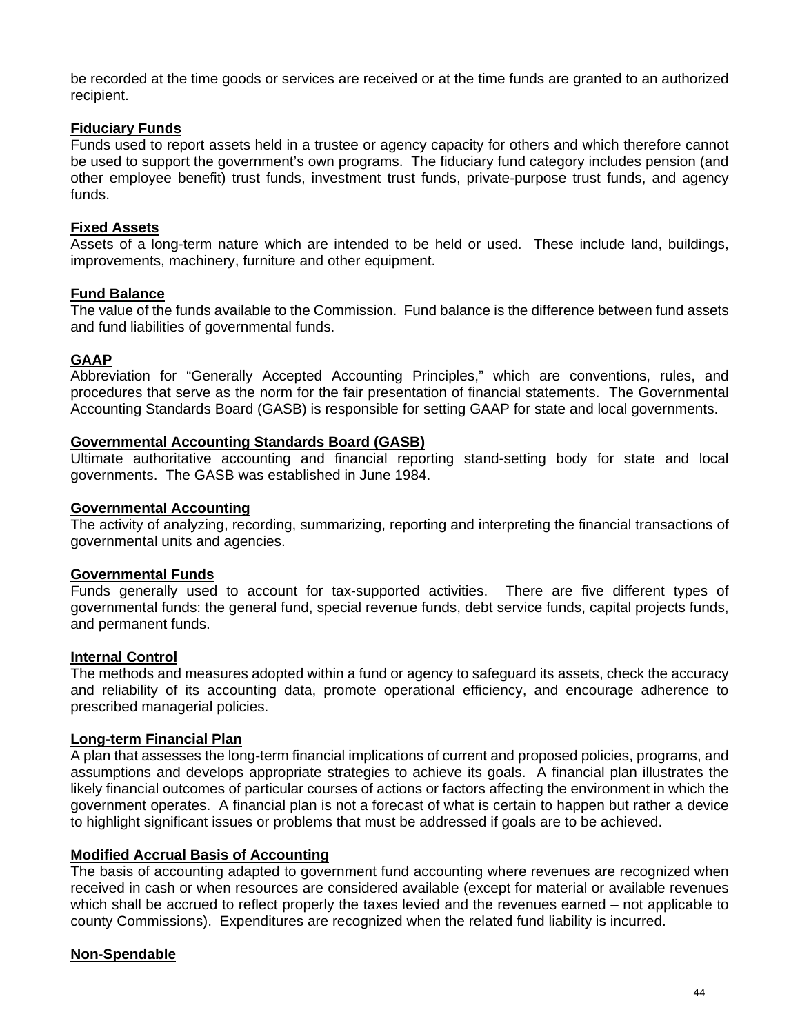be recorded at the time goods or services are received or at the time funds are granted to an authorized recipient.

# **Fiduciary Funds**

Funds used to report assets held in a trustee or agency capacity for others and which therefore cannot be used to support the government's own programs. The fiduciary fund category includes pension (and other employee benefit) trust funds, investment trust funds, private-purpose trust funds, and agency funds.

#### **Fixed Assets**

Assets of a long-term nature which are intended to be held or used. These include land, buildings, improvements, machinery, furniture and other equipment.

#### **Fund Balance**

The value of the funds available to the Commission. Fund balance is the difference between fund assets and fund liabilities of governmental funds.

#### **GAAP**

Abbreviation for "Generally Accepted Accounting Principles," which are conventions, rules, and procedures that serve as the norm for the fair presentation of financial statements. The Governmental Accounting Standards Board (GASB) is responsible for setting GAAP for state and local governments.

#### **Governmental Accounting Standards Board (GASB)**

Ultimate authoritative accounting and financial reporting stand-setting body for state and local governments. The GASB was established in June 1984.

#### **Governmental Accounting**

The activity of analyzing, recording, summarizing, reporting and interpreting the financial transactions of governmental units and agencies.

#### **Governmental Funds**

Funds generally used to account for tax-supported activities. There are five different types of governmental funds: the general fund, special revenue funds, debt service funds, capital projects funds, and permanent funds.

#### **Internal Control**

The methods and measures adopted within a fund or agency to safeguard its assets, check the accuracy and reliability of its accounting data, promote operational efficiency, and encourage adherence to prescribed managerial policies.

#### **Long-term Financial Plan**

A plan that assesses the long-term financial implications of current and proposed policies, programs, and assumptions and develops appropriate strategies to achieve its goals. A financial plan illustrates the likely financial outcomes of particular courses of actions or factors affecting the environment in which the government operates. A financial plan is not a forecast of what is certain to happen but rather a device to highlight significant issues or problems that must be addressed if goals are to be achieved.

#### **Modified Accrual Basis of Accounting**

The basis of accounting adapted to government fund accounting where revenues are recognized when received in cash or when resources are considered available (except for material or available revenues which shall be accrued to reflect properly the taxes levied and the revenues earned – not applicable to county Commissions). Expenditures are recognized when the related fund liability is incurred.

# **Non-Spendable**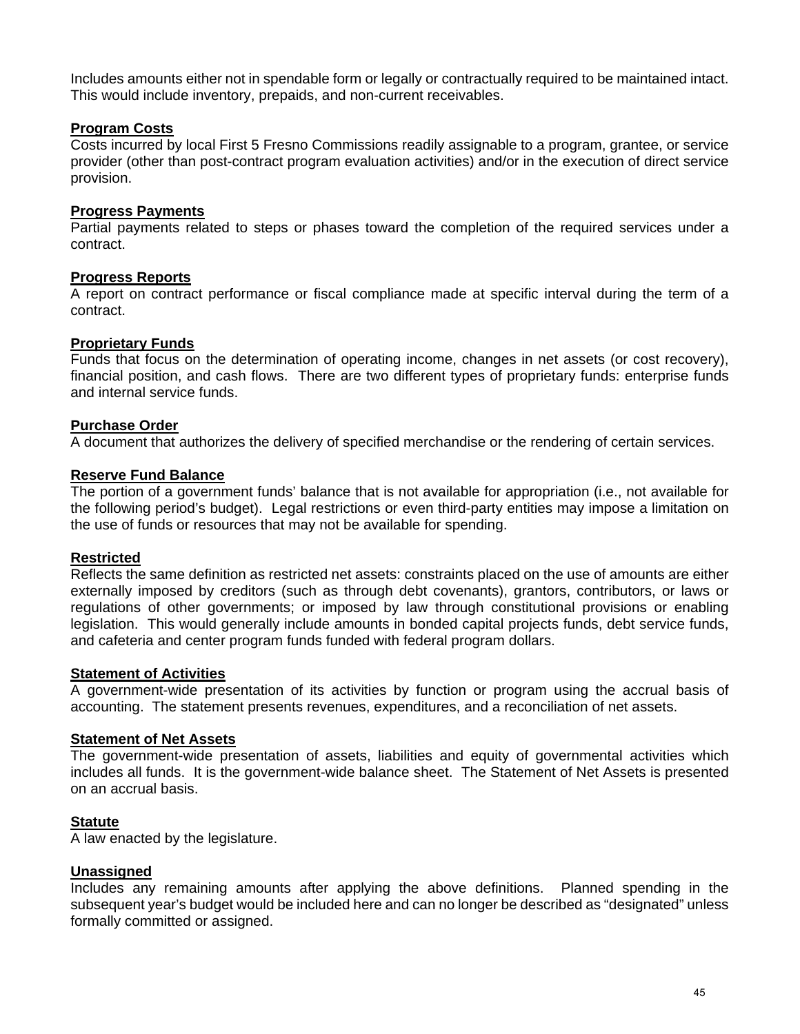Includes amounts either not in spendable form or legally or contractually required to be maintained intact. This would include inventory, prepaids, and non-current receivables.

#### **Program Costs**

Costs incurred by local First 5 Fresno Commissions readily assignable to a program, grantee, or service provider (other than post-contract program evaluation activities) and/or in the execution of direct service provision.

#### **Progress Payments**

Partial payments related to steps or phases toward the completion of the required services under a contract.

#### **Progress Reports**

A report on contract performance or fiscal compliance made at specific interval during the term of a contract.

#### **Proprietary Funds**

Funds that focus on the determination of operating income, changes in net assets (or cost recovery), financial position, and cash flows. There are two different types of proprietary funds: enterprise funds and internal service funds.

#### **Purchase Order**

A document that authorizes the delivery of specified merchandise or the rendering of certain services.

#### **Reserve Fund Balance**

The portion of a government funds' balance that is not available for appropriation (i.e., not available for the following period's budget). Legal restrictions or even third-party entities may impose a limitation on the use of funds or resources that may not be available for spending.

#### **Restricted**

Reflects the same definition as restricted net assets: constraints placed on the use of amounts are either externally imposed by creditors (such as through debt covenants), grantors, contributors, or laws or regulations of other governments; or imposed by law through constitutional provisions or enabling legislation. This would generally include amounts in bonded capital projects funds, debt service funds, and cafeteria and center program funds funded with federal program dollars.

#### **Statement of Activities**

A government-wide presentation of its activities by function or program using the accrual basis of accounting. The statement presents revenues, expenditures, and a reconciliation of net assets.

#### **Statement of Net Assets**

The government-wide presentation of assets, liabilities and equity of governmental activities which includes all funds. It is the government-wide balance sheet. The Statement of Net Assets is presented on an accrual basis.

#### **Statute**

A law enacted by the legislature.

#### **Unassigned**

Includes any remaining amounts after applying the above definitions. Planned spending in the subsequent year's budget would be included here and can no longer be described as "designated" unless formally committed or assigned.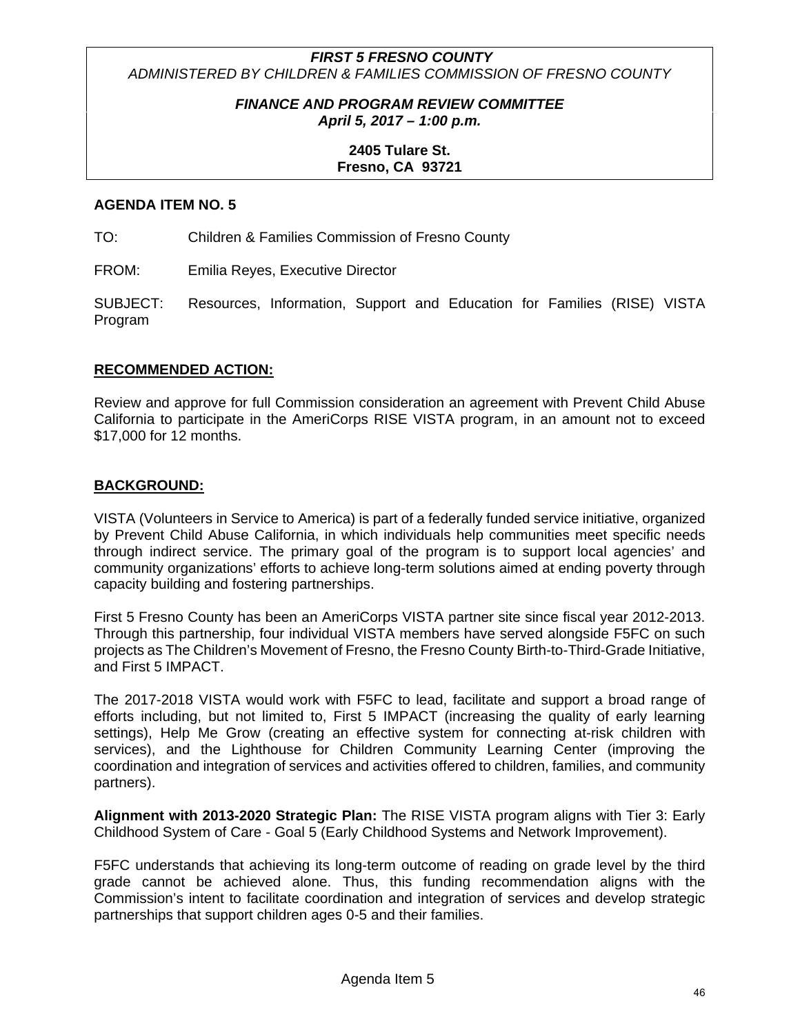# *FIRST 5 FRESNO COUNTY ADMINISTERED BY CHILDREN & FAMILIES COMMISSION OF FRESNO COUNTY*

# *FINANCE AND PROGRAM REVIEW COMMITTEE April 5, 2017 – 1:00 p.m.*

# **2405 Tulare St. Fresno, CA 93721**

# **AGENDA ITEM NO. 5**

TO: Children & Families Commission of Fresno County

FROM: Emilia Reyes, Executive Director

SUBJECT: Resources, Information, Support and Education for Families (RISE) VISTA Program

#### **RECOMMENDED ACTION:**

Review and approve for full Commission consideration an agreement with Prevent Child Abuse California to participate in the AmeriCorps RISE VISTA program, in an amount not to exceed \$17,000 for 12 months.

#### **BACKGROUND:**

VISTA (Volunteers in Service to America) is part of a federally funded service initiative, organized by Prevent Child Abuse California, in which individuals help communities meet specific needs through indirect service. The primary goal of the program is to support local agencies' and community organizations' efforts to achieve long-term solutions aimed at ending poverty through capacity building and fostering partnerships.

First 5 Fresno County has been an AmeriCorps VISTA partner site since fiscal year 2012-2013. Through this partnership, four individual VISTA members have served alongside F5FC on such projects as The Children's Movement of Fresno, the Fresno County Birth-to-Third-Grade Initiative, and First 5 IMPACT.

The 2017-2018 VISTA would work with F5FC to lead, facilitate and support a broad range of efforts including, but not limited to, First 5 IMPACT (increasing the quality of early learning settings), Help Me Grow (creating an effective system for connecting at-risk children with services), and the Lighthouse for Children Community Learning Center (improving the coordination and integration of services and activities offered to children, families, and community partners).

**Alignment with 2013-2020 Strategic Plan:** The RISE VISTA program aligns with Tier 3: Early Childhood System of Care - Goal 5 (Early Childhood Systems and Network Improvement).

F5FC understands that achieving its long-term outcome of reading on grade level by the third grade cannot be achieved alone. Thus, this funding recommendation aligns with the Commission's intent to facilitate coordination and integration of services and develop strategic partnerships that support children ages 0-5 and their families.